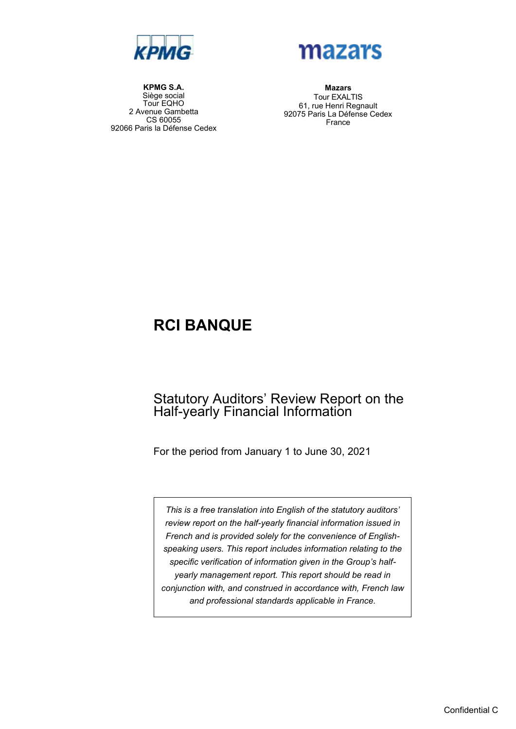



**KPMG S.A.** Siège social Tour EQHO 2 Avenue Gambetta CS 60055 92066 Paris la Défense Cedex

**Mazars** Tour EXALTIS 61, rue Henri Regnault 92075 Paris La Défense Cedex France

## **RCI BANQUE**

## Statutory Auditors' Review Report on the Half-yearly Financial Information

For the period from January 1 to June 30, 2021

*This is a free translation into English of the statutory auditors' review report on the half-yearly financial information issued in French and is provided solely for the convenience of Englishspeaking users. This report includes information relating to the specific verification of information given in the Group's halfyearly management report. This report should be read in conjunction with, and construed in accordance with, French law and professional standards applicable in France.*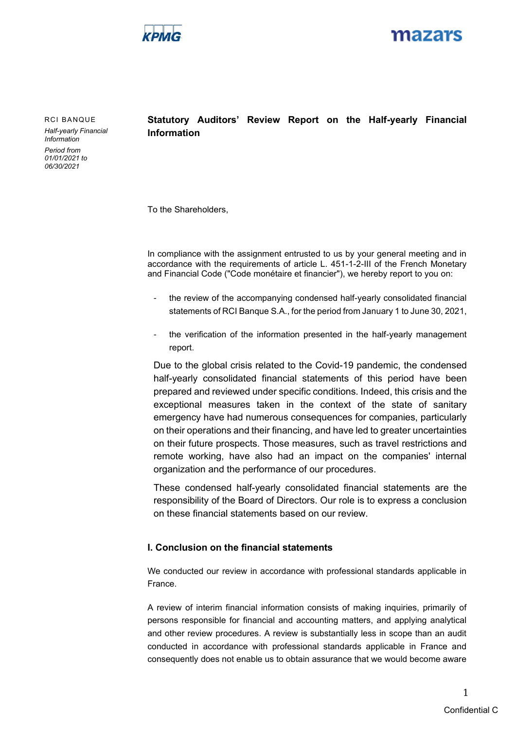



RCI BANQUE *Half-yearly Financial Information*

*Period from 01/01/2021 to 06/30/2021*

**Statutory Auditors' Review Report on the Half-yearly Financial Information**

To the Shareholders,

In compliance with the assignment entrusted to us by your general meeting and in accordance with the requirements of article L. 451-1-2-III of the French Monetary and Financial Code ("Code monétaire et financier"), we hereby report to you on:

- the review of the accompanying condensed half-yearly consolidated financial statements of RCI Banque S.A., for the period from January 1 to June 30, 2021,
- the verification of the information presented in the half-yearly management report.

Due to the global crisis related to the Covid-19 pandemic, the condensed half-yearly consolidated financial statements of this period have been prepared and reviewed under specific conditions. Indeed, this crisis and the exceptional measures taken in the context of the state of sanitary emergency have had numerous consequences for companies, particularly on their operations and their financing, and have led to greater uncertainties on their future prospects. Those measures, such as travel restrictions and remote working, have also had an impact on the companies' internal organization and the performance of our procedures.

These condensed half-yearly consolidated financial statements are the responsibility of the Board of Directors. Our role is to express a conclusion on these financial statements based on our review.

#### **I. Conclusion on the financial statements**

We conducted our review in accordance with professional standards applicable in France.

A review of interim financial information consists of making inquiries, primarily of persons responsible for financial and accounting matters, and applying analytical and other review procedures. A review is substantially less in scope than an audit conducted in accordance with professional standards applicable in France and consequently does not enable us to obtain assurance that we would become aware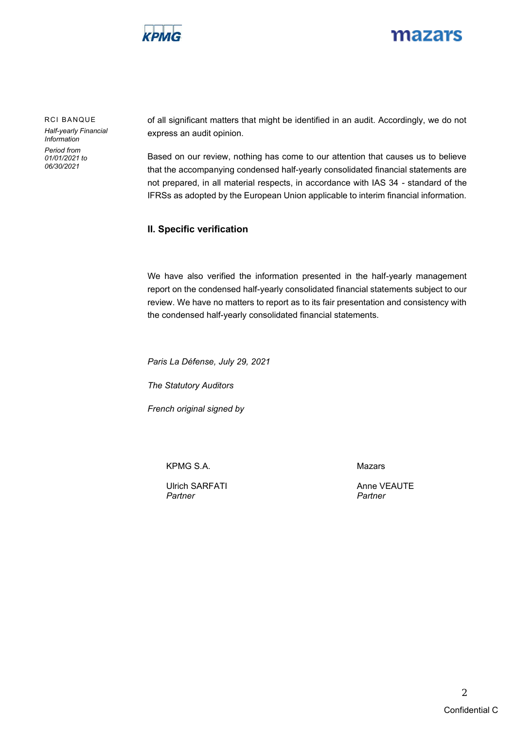

## mazars

RCI BANQUE *Half-yearly Financial Information Period from 01/01/2021 to 06/30/2021*

of all significant matters that might be identified in an audit. Accordingly, we do not express an audit opinion.

Based on our review, nothing has come to our attention that causes us to believe that the accompanying condensed half-yearly consolidated financial statements are not prepared, in all material respects, in accordance with IAS 34 - standard of the IFRSs as adopted by the European Union applicable to interim financial information.

#### **II. Specific verification**

We have also verified the information presented in the half-yearly management report on the condensed half-yearly consolidated financial statements subject to our review. We have no matters to report as to its fair presentation and consistency with the condensed half-yearly consolidated financial statements.

*Paris La Défense, July 29, 2021*

*The Statutory Auditors*

*French original signed by*

KPMG S.A.

Ulrich SARFATI *Partner*

Mazars

Anne VEAUTE *Partner*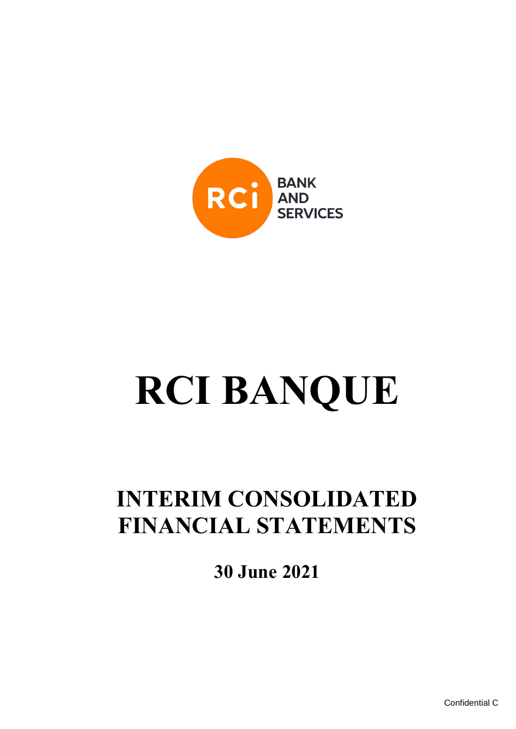

# **RCI BANQUE**

## **INTERIM CONSOLIDATED FINANCIAL STATEMENTS**

**30 June 2021**

Confidential C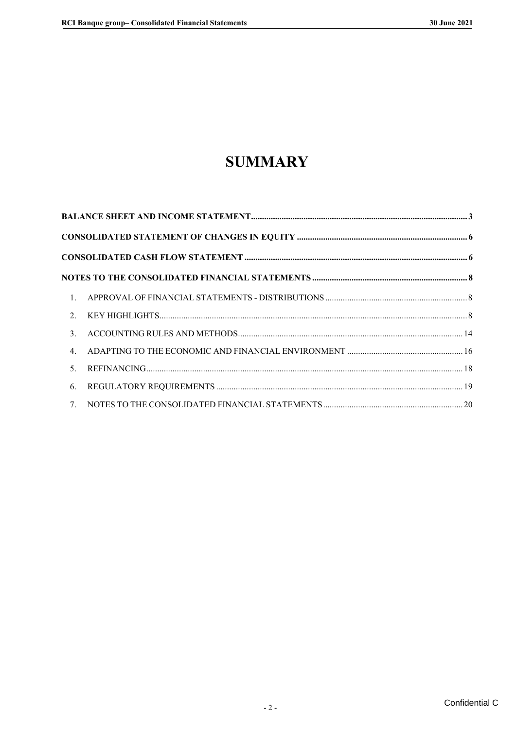## **SUMMARY**

| 1.               |  |
|------------------|--|
| 2.               |  |
| 3.               |  |
| $\overline{4}$ . |  |
| 5.               |  |
| 6.               |  |
|                  |  |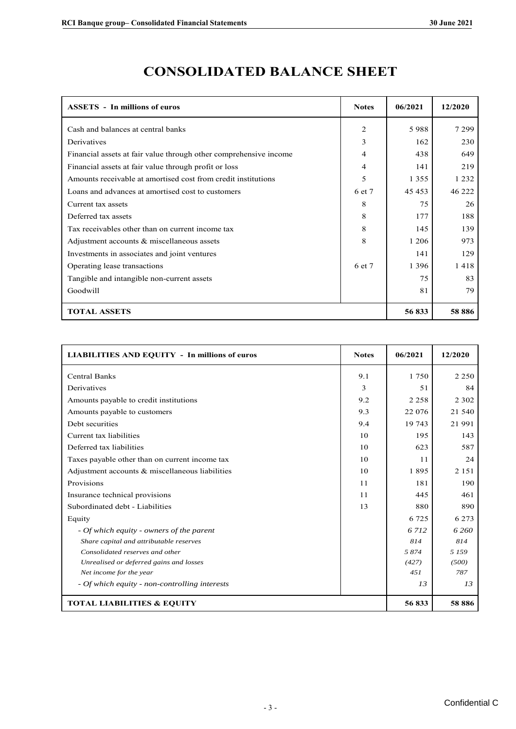| <b>ASSETS</b> - In millions of euros                              | <b>Notes</b>   | 06/2021 | 12/2020  |
|-------------------------------------------------------------------|----------------|---------|----------|
| Cash and balances at central banks                                | $\overline{2}$ | 5988    | 7 2 9 9  |
| Derivatives                                                       | 3              | 162     | 230      |
| Financial assets at fair value through other comprehensive income | 4              | 438     | 649      |
| Financial assets at fair value through profit or loss             |                | 141     | 219      |
| Amounts receivable at amortised cost from credit institutions     |                | 1 3 5 5 | 1 2 3 2  |
| Loans and advances at amortised cost to customers                 |                | 45 4 53 | 46 222   |
| Current tax assets                                                | 8              | 75      | 26       |
| Deferred tax assets                                               | 8              | 177     | 188      |
| Tax receivables other than on current income tax                  | 8              | 145     | 139      |
| Adjustment accounts $\&$ miscellaneous assets                     | 8              | 1 2 0 6 | 973      |
| Investments in associates and joint ventures                      |                | 141     | 129      |
| Operating lease transactions                                      | 6 et 7         | 1 3 9 6 | 1418     |
| Tangible and intangible non-current assets                        |                | 75      | 83       |
| Goodwill                                                          |                | 81      | 79       |
| <b>TOTAL ASSETS</b>                                               |                | 56833   | 58 8 8 6 |

## **CONSOLIDATED BALANCE SHEET**

| <b>LIABILITIES AND EQUITY - In millions of euros</b> | <b>Notes</b> | 06/2021 | 12/2020 |
|------------------------------------------------------|--------------|---------|---------|
| <b>Central Banks</b>                                 | 9.1          | 1750    | 2 2 5 0 |
| Derivatives                                          | 3            | 51      | 84      |
| Amounts payable to credit institutions               | 9.2          | 2 2 5 8 | 2 3 0 2 |
| Amounts payable to customers                         | 9.3          | 22 076  | 21 540  |
| Debt securities                                      | 9.4          | 19 743  | 21991   |
| Current tax liabilities                              | 10           | 195     | 143     |
| Deferred tax liabilities                             | 10           | 623     | 587     |
| Taxes payable other than on current income tax       | 10           | 11      | 24      |
| Adjustment accounts & miscellaneous liabilities      | 10           | 1895    | 2 1 5 1 |
| Provisions                                           | 11           | 181     | 190     |
| Insurance technical provisions                       | 11           | 445     | 461     |
| Subordinated debt - Liabilities                      | 13           | 880     | 890     |
| Equity                                               |              | 6 7 2 5 | 6 2 7 3 |
| - Of which equity - owners of the parent             |              | 6 7 12  | 6 2 6 0 |
| Share capital and attributable reserves              |              | 814     | 814     |
| Consolidated reserves and other                      |              | 5874    | 5 1 5 9 |
| Unrealised or deferred gains and losses              |              | (427)   | (500)   |
| Net income for the year                              |              | 4.51    | 787     |
| - Of which equity - non-controlling interests        |              | 13      | 13      |
| <b>TOTAL LIABILITIES &amp; EQUITY</b>                |              | 56833   | 58 886  |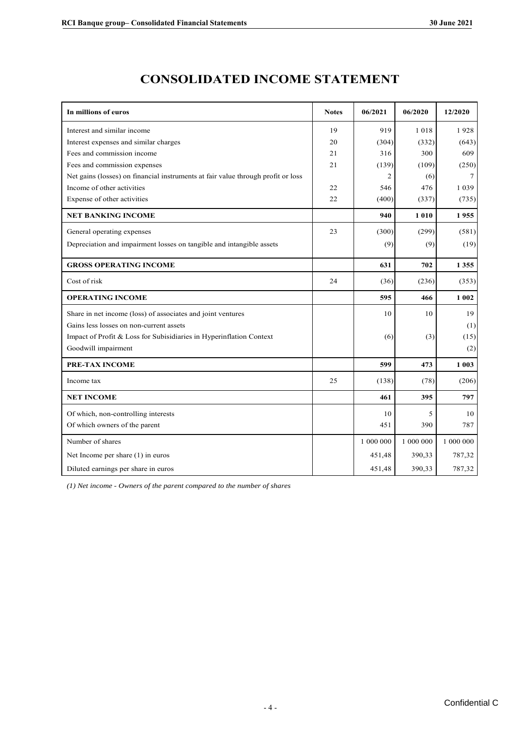| In millions of euros                                                             | <b>Notes</b> | 06/2021        | 06/2020   | 12/2020   |
|----------------------------------------------------------------------------------|--------------|----------------|-----------|-----------|
| Interest and similar income                                                      | 19           | 919            | 1018      | 1928      |
| Interest expenses and similar charges                                            | 20           | (304)          | (332)     | (643)     |
| Fees and commission income                                                       | 21           | 316            | 300       | 609       |
| Fees and commission expenses                                                     | 21           | (139)          | (109)     | (250)     |
| Net gains (losses) on financial instruments at fair value through profit or loss |              | $\overline{2}$ | (6)       | 7         |
| Income of other activities                                                       | 22           | 546            | 476       | 1039      |
| Expense of other activities                                                      | 22           | (400)          | (337)     | (735)     |
| <b>NET BANKING INCOME</b>                                                        |              | 940            | 1010      | 1955      |
| General operating expenses                                                       | 23           | (300)          | (299)     | (581)     |
| Depreciation and impairment losses on tangible and intangible assets             |              | (9)            | (9)       | (19)      |
| <b>GROSS OPERATING INCOME</b>                                                    |              | 631            | 702       | 1355      |
| Cost of risk                                                                     | 24           | (36)           | (236)     | (353)     |
| <b>OPERATING INCOME</b>                                                          |              | 595            | 466       | 1 0 0 2   |
| Share in net income (loss) of associates and joint ventures                      |              | 10             | 10        | 19        |
| Gains less losses on non-current assets                                          |              |                |           | (1)       |
| Impact of Profit & Loss for Subisidiaries in Hyperinflation Context              |              | (6)            | (3)       | (15)      |
| Goodwill impairment                                                              |              |                |           | (2)       |
| PRE-TAX INCOME                                                                   |              | 599            | 473       | 1 0 0 3   |
| Income tax                                                                       | 25           | (138)          | (78)      | (206)     |
| <b>NET INCOME</b>                                                                |              | 461            | 395       | 797       |
| Of which, non-controlling interests                                              |              | 10             | 5         | 10        |
| Of which owners of the parent                                                    |              | 451            | 390       | 787       |
| Number of shares                                                                 |              | 1 000 000      | 1 000 000 | 1 000 000 |
| Net Income per share (1) in euros                                                |              | 451,48         | 390,33    | 787,32    |
|                                                                                  |              |                |           |           |

## **CONSOLIDATED INCOME STATEMENT CONSOLIDATED INCOME STATEMENT**

*(1) Net income - Owners of the parent compared to the number of shares*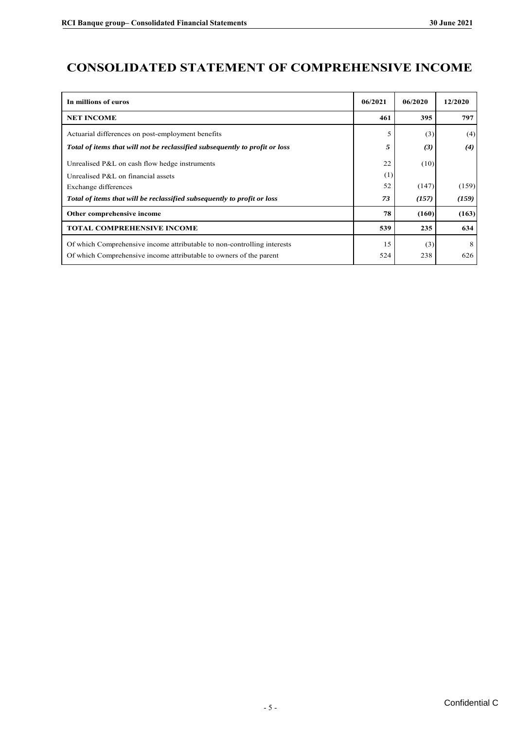## **CONSOLIDATED STATEMENT OF COMPREHENSIVE INCOME**

| In millions of euros                                                        | 06/2021 | 06/2020 | 12/2020 |
|-----------------------------------------------------------------------------|---------|---------|---------|
| <b>NET INCOME</b>                                                           | 461     | 395     | 797     |
| Actuarial differences on post-employment benefits                           |         | (3)     | (4)     |
| Total of items that will not be reclassified subsequently to profit or loss | 5       | (3)     | (4)     |
| Unrealised P&L on cash flow hedge instruments                               | 22      | (10)    |         |
| Unrealised P&L on financial assets                                          | (1)     |         |         |
| Exchange differences                                                        | 52      | (147)   | (159)   |
| Total of items that will be reclassified subsequently to profit or loss     | 73      | (157)   | (159)   |
| Other comprehensive income                                                  | 78      | (160)   | (163)   |
| <b>TOTAL COMPREHENSIVE INCOME</b>                                           | 539     | 235     | 634     |
| Of which Comprehensive income attributable to non-controlling interests     | 15      | (3)     | 8       |
| Of which Comprehensive income attributable to owners of the parent          | 524     | 238     | 626     |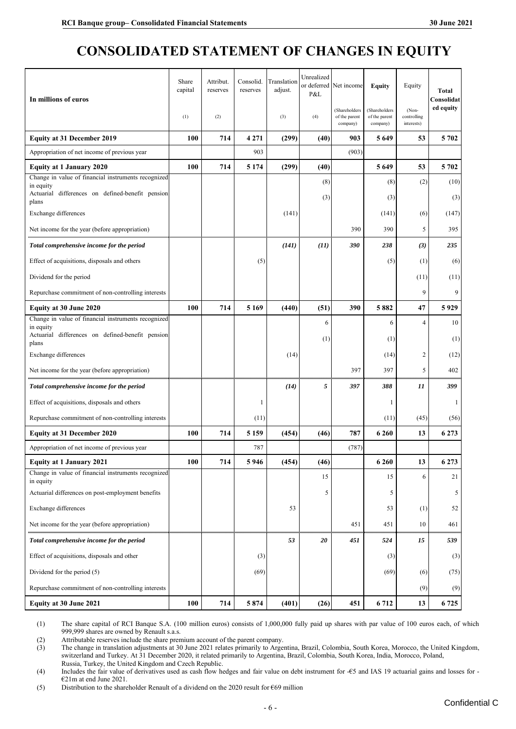## <span id="page-8-0"></span>**CONSOLIDATED STATEMENT OF CHANGES IN EQUITY**

| In millions of euros                                                                                                 | Share<br>capital | Attribut.<br>reserves | Consolid.<br>reserves | Translation<br>adjust. | Unrealized<br>P&L | or deferred Net income                     | <b>Equity</b>                              | Equity                             | <b>Total</b><br>Consolidat |
|----------------------------------------------------------------------------------------------------------------------|------------------|-----------------------|-----------------------|------------------------|-------------------|--------------------------------------------|--------------------------------------------|------------------------------------|----------------------------|
|                                                                                                                      | (1)              | (2)                   |                       | (3)                    | (4)               | (Shareholders<br>of the parent<br>company) | (Shareholders<br>of the parent<br>company) | (Non-<br>controlling<br>interests) | ed equity                  |
| <b>Equity at 31 December 2019</b>                                                                                    | 100              | 714                   | 4 2 7 1               | (299)                  | (40)              | 903                                        | 5649                                       | 53                                 | 5702                       |
| Appropriation of net income of previous year                                                                         |                  |                       | 903                   |                        |                   | (903)                                      |                                            |                                    |                            |
| <b>Equity at 1 January 2020</b>                                                                                      | 100              | 714                   | 5 1 7 4               | (299)                  | (40)              |                                            | 5649                                       | 53                                 | 5702                       |
| Change in value of financial instruments recognized<br>in equity<br>Actuarial differences on defined-benefit pension |                  |                       |                       |                        | (8)               |                                            | (8)                                        | (2)                                | (10)                       |
| plans                                                                                                                |                  |                       |                       |                        | (3)               |                                            | (3)                                        |                                    | (3)                        |
| Exchange differences                                                                                                 |                  |                       |                       | (141)                  |                   |                                            | (141)                                      | (6)                                | (147)                      |
| Net income for the year (before appropriation)                                                                       |                  |                       |                       |                        |                   | 390                                        | 390                                        | 5                                  | 395                        |
| Total comprehensive income for the period                                                                            |                  |                       |                       | (141)                  | (11)              | 390                                        | 238                                        | (3)                                | 235                        |
| Effect of acquisitions, disposals and others                                                                         |                  |                       | (5)                   |                        |                   |                                            | (5)                                        | (1)                                | (6)                        |
| Dividend for the period                                                                                              |                  |                       |                       |                        |                   |                                            |                                            | (11)                               | (11)                       |
| Repurchase commitment of non-controlling interests                                                                   |                  |                       |                       |                        |                   |                                            |                                            | 9                                  | 9                          |
| Equity at 30 June 2020                                                                                               | 100              | 714                   | 5 1 6 9               | (440)                  | (51)              | 390                                        | 5882                                       | 47                                 | 5929                       |
| Change in value of financial instruments recognized<br>in equity                                                     |                  |                       |                       |                        | 6                 |                                            | 6                                          | 4                                  | 10                         |
| Actuarial differences on defined-benefit pension<br>plans                                                            |                  |                       |                       |                        | (1)               |                                            | (1)                                        |                                    | (1)                        |
| Exchange differences                                                                                                 |                  |                       |                       | (14)                   |                   |                                            | (14)                                       | $\overline{2}$                     | (12)                       |
| Net income for the year (before appropriation)                                                                       |                  |                       |                       |                        |                   | 397                                        | 397                                        | 5                                  | 402                        |
| Total comprehensive income for the period                                                                            |                  |                       |                       | (14)                   | 5                 | 397                                        | 388                                        | 11                                 | 399                        |
| Effect of acquisitions, disposals and others                                                                         |                  |                       | 1                     |                        |                   |                                            | 1                                          |                                    | -1                         |
| Repurchase commitment of non-controlling interests                                                                   |                  |                       | (11)                  |                        |                   |                                            | (11)                                       | (45)                               | (56)                       |
| <b>Equity at 31 December 2020</b>                                                                                    | 100              | 714                   | 5 1 5 9               | (454)                  | (46)              | 787                                        | 6 2 6 0                                    | 13                                 | 6 2 7 3                    |
| Appropriation of net income of previous year                                                                         |                  |                       | 787                   |                        |                   | (787)                                      |                                            |                                    |                            |
| <b>Equity at 1 January 2021</b>                                                                                      | 100              | 714                   | 5946                  | (454)                  | (46)              |                                            | 6 2 6 0                                    | 13                                 | 6 2 7 3                    |
| Change in value of financial instruments recognized<br>in equity                                                     |                  |                       |                       |                        | 15                |                                            | 15                                         | 6                                  | 21                         |
| Actuarial differences on post-employment benefits                                                                    |                  |                       |                       |                        | 5                 |                                            | 5                                          |                                    | 5                          |
| Exchange differences                                                                                                 |                  |                       |                       | 53                     |                   |                                            | 53                                         | (1)                                | 52                         |
| Net income for the year (before appropriation)                                                                       |                  |                       |                       |                        |                   | 451                                        | 451                                        | 10                                 | 461                        |
| Total comprehensive income for the period                                                                            |                  |                       |                       | 53                     | 20                | 451                                        | 524                                        | 15                                 | 539                        |
| Effect of acquisitions, disposals and other                                                                          |                  |                       | (3)                   |                        |                   |                                            | (3)                                        |                                    | (3)                        |
| Dividend for the period (5)                                                                                          |                  |                       | (69)                  |                        |                   |                                            | (69)                                       | (6)                                | (75)                       |
| Repurchase commitment of non-controlling interests                                                                   |                  |                       |                       |                        |                   |                                            |                                            | (9)                                | (9)                        |
| Equity at 30 June 2021                                                                                               | 100              | 714                   | 5874                  | (401)                  | (26)              | 451                                        | 6712                                       | 13                                 | 6725                       |

(1) The share capital of RCI Banque S.A. (100 million euros) consists of 1,000,000 fully paid up shares with par value of 100 euros each, of which 999,999 shares are owned by Renault s.a.s.

(2) Attributable reserves include the share premium account of the parent company.<br>
(3) The change in translation adjustments at 30 June 2021 relates primarily to Arge The change in translation adjustments at 30 June 2021 relates primarily to Argentina, Brazil, Colombia, South Korea, Morocco, the United Kingdom, switzerland and Turkey. At 31 December 2020, it related primarily to Argentina, Brazil, Colombia, South Korea, India, Morocco, Poland, Russia, Turkey, the United Kingdom and Czech Republic.

(4) Includes the fair value of derivatives used as cash flow hedges and fair value on debt instrument for -€5 and IAS 19 actuarial gains and losses for - €21m at end June 2021.

<span id="page-8-1"></span>(5) Distribution to the shareholder Renault of a dividend on the 2020 result for €69 million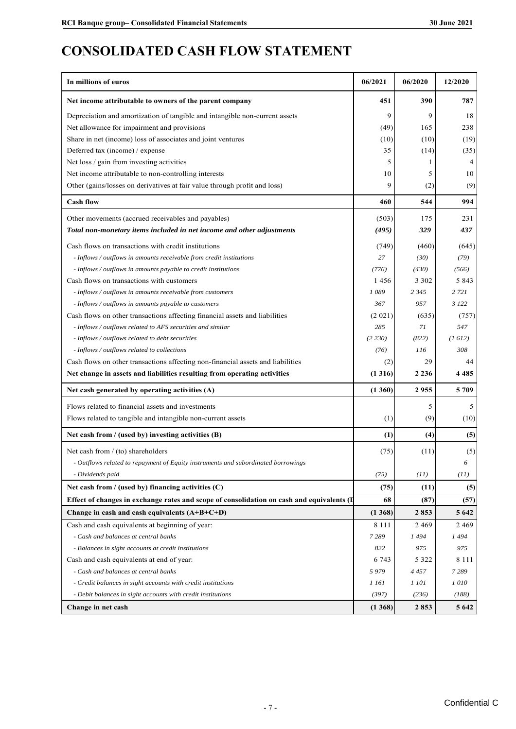## **CONSOLIDATED CASH FLOW STATEMENT**

| In millions of euros                                                                                                                                | 06/2021    | 06/2020 | 12/2020            |
|-----------------------------------------------------------------------------------------------------------------------------------------------------|------------|---------|--------------------|
| Net income attributable to owners of the parent company                                                                                             | 451        | 390     | 787                |
| Depreciation and amortization of tangible and intangible non-current assets                                                                         | 9          | 9       | 18                 |
| Net allowance for impairment and provisions                                                                                                         | (49)       | 165     | 238                |
| Share in net (income) loss of associates and joint ventures                                                                                         | (10)       | (10)    | (19)               |
| Deferred tax (income) / expense                                                                                                                     | 35         | (14)    | (35)               |
| Net loss / gain from investing activities                                                                                                           | 5          |         | 4                  |
| Net income attributable to non-controlling interests                                                                                                | 10         | 5       | 10                 |
| Other (gains/losses on derivatives at fair value through profit and loss)                                                                           | 9          | (2)     | (9)                |
| <b>Cash flow</b>                                                                                                                                    | 460        | 544     | 994                |
| Other movements (accrued receivables and payables)                                                                                                  | (503)      | 175     | 231                |
| Total non-monetary items included in net income and other adjustments                                                                               | (495)      | 329     | 437                |
| Cash flows on transactions with credit institutions                                                                                                 | (749)      | (460)   | (645)              |
| - Inflows / outflows in amounts receivable from credit institutions                                                                                 | 27         | (30)    | (79)               |
| - Inflows / outflows in amounts payable to credit institutions                                                                                      | (776)      | (430)   | (566)              |
| Cash flows on transactions with customers                                                                                                           | 1456       | 3 3 0 2 | 5843               |
| - Inflows / outflows in amounts receivable from customers                                                                                           | 1089       | 2 3 4 5 | 2 7 2 1            |
| - Inflows / outflows in amounts payable to customers                                                                                                | 367        | 957     | 3 1 2 2            |
| Cash flows on other transactions affecting financial assets and liabilities                                                                         | (2 021)    | (635)   | (757)              |
| - Inflows / outflows related to AFS securities and similar                                                                                          | 285        | 71      | 547                |
| - Inflows / outflows related to debt securities                                                                                                     | (2 230)    | (822)   | (1612)             |
| - Inflows / outflows related to collections                                                                                                         | (76)       | 116     | 308                |
| Cash flows on other transactions affecting non-financial assets and liabilities                                                                     | (2)        | 29      | 44                 |
| Net change in assets and liabilities resulting from operating activities                                                                            | (1316)     | 2 2 3 6 | 4485               |
| Net cash generated by operating activities (A)                                                                                                      | (1360)     | 2955    | 5709               |
| Flows related to financial assets and investments                                                                                                   |            | 5       | 5                  |
| Flows related to tangible and intangible non-current assets                                                                                         | (1)        | (9)     | (10)               |
|                                                                                                                                                     |            |         |                    |
| Net cash from / (used by) investing activities (B)                                                                                                  | (1)        | (4)     | (5)                |
| Net cash from $/$ (to) shareholders                                                                                                                 | (75)       | (11)    | (5)                |
| - Outflows related to repayment of Equity instruments and subordinated borrowings                                                                   |            |         |                    |
| - Dividends paid                                                                                                                                    | (75)       | (11)    | (II)               |
| Net cash from $/$ (used by) financing activities $(C)$<br>Effect of changes in exchange rates and scope of consolidation on cash and equivalents (I | (75)<br>68 | (11)    | (5)                |
|                                                                                                                                                     |            | (87)    | (57)               |
| Change in cash and cash equivalents (A+B+C+D)                                                                                                       | (1368)     | 2853    | 5 6 4 2<br>2 4 6 9 |
| Cash and cash equivalents at beginning of year:                                                                                                     | 8 1 1 1    | 2469    |                    |
| - Cash and balances at central banks                                                                                                                | 7 2 8 9    | 1494    | 1494               |
| - Balances in sight accounts at credit institutions                                                                                                 | 822        | 975     | 975                |
| Cash and cash equivalents at end of year:                                                                                                           | 6 7 4 3    | 5 3 2 2 | 8 1 1 1            |
| - Cash and balances at central banks                                                                                                                | 5979       | 4 4 5 7 | 7289               |
| - Credit balances in sight accounts with credit institutions                                                                                        | 1 161      | 1 101   | 1010               |
| - Debit balances in sight accounts with credit institutions                                                                                         | (397)      | (236)   | (188)              |
| Change in net cash                                                                                                                                  | (1368)     | 2853    | 5 6 4 2            |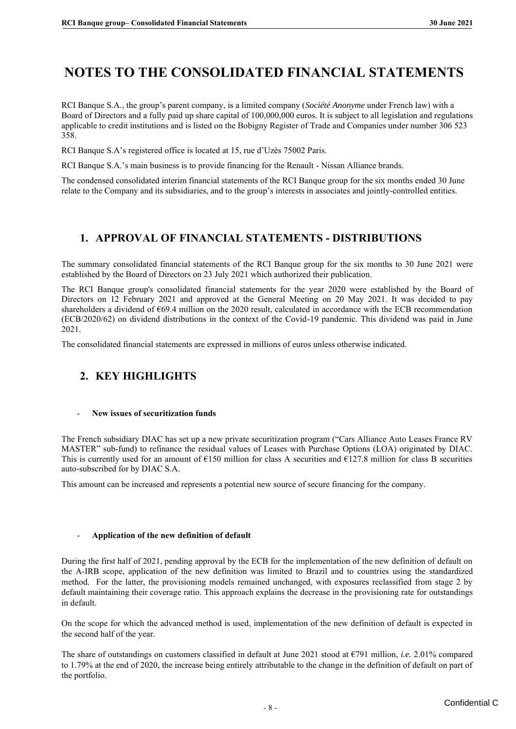## <span id="page-10-0"></span>**NOTES TO THE CONSOLIDATED FINANCIAL STATEMENTS**

RCI Banque S.A., the group's parent company, is a limited company (*Société Anonyme* under French law) with a Board of Directors and a fully paid up share capital of 100,000,000 euros. It is subject to all legislation and regulations applicable to credit institutions and is listed on the Bobigny Register of Trade and Companies under number 306 523 358.

RCI Banque S.A's registered office is located at 15, rue d'Uzès 75002 Paris.

RCI Banque S.A.'s main business is to provide financing for the Renault - Nissan Alliance brands.

The condensed consolidated interim financial statements of the RCI Banque group for the six months ended 30 June relate to the Company and its subsidiaries, and to the group's interests in associates and jointly-controlled entities.

## <span id="page-10-1"></span>**1. APPROVAL OF FINANCIAL STATEMENTS - DISTRIBUTIONS**

The summary consolidated financial statements of the RCI Banque group for the six months to 30 June 2021 were established by the Board of Directors on 23 July 2021 which authorized their publication.

The RCI Banque group's consolidated financial statements for the year 2020 were established by the Board of Directors on 12 February 2021 and approved at the General Meeting on 20 May 2021. It was decided to pay shareholders a dividend of  $669.4$  million on the 2020 result, calculated in accordance with the ECB recommendation (ECB/2020/62) on dividend distributions in the context of the Covid-19 pandemic. This dividend was paid in June 2021.

The consolidated financial statements are expressed in millions of euros unless otherwise indicated.

## <span id="page-10-2"></span>**2. KEY HIGHLIGHTS**

#### - **New issues of securitization funds**

The French subsidiary DIAC has set up a new private securitization program ("Cars Alliance Auto Leases France RV MASTER" sub-fund) to refinance the residual values of Leases with Purchase Options (LOA) originated by DIAC. This is currently used for an amount of  $E150$  million for class A securities and  $E127.8$  million for class B securities auto-subscribed for by DIAC S.A.

This amount can be increased and represents a potential new source of secure financing for the company.

#### - **Application of the new definition of default**

During the first half of 2021, pending approval by the ECB for the implementation of the new definition of default on the A-IRB scope, application of the new definition was limited to Brazil and to countries using the standardized method. For the latter, the provisioning models remained unchanged, with exposures reclassified from stage 2 by default maintaining their coverage ratio. This approach explains the decrease in the provisioning rate for outstandings in default.

On the scope for which the advanced method is used, implementation of the new definition of default is expected in the second half of the year.

The share of outstandings on customers classified in default at June 2021 stood at €791 million, *i.e.* 2.01% compared to 1.79% at the end of 2020, the increase being entirely attributable to the change in the definition of default on part of the portfolio.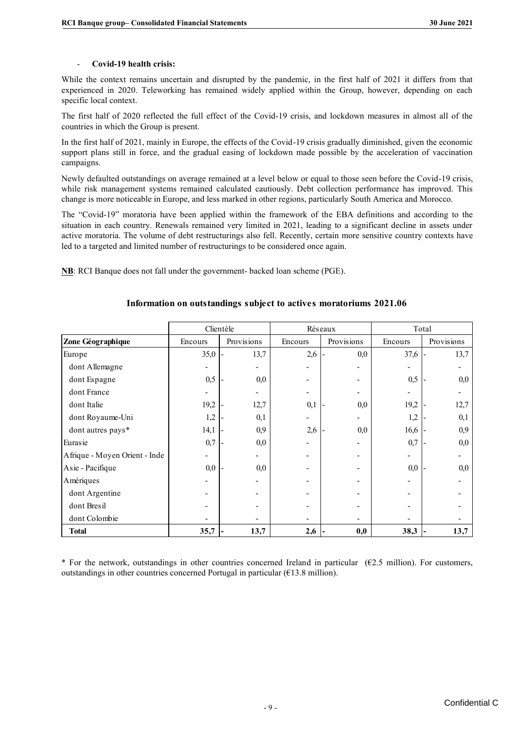#### - **Covid-19 health crisis:**

While the context remains uncertain and disrupted by the pandemic, in the first half of 2021 it differs from that experienced in 2020. Teleworking has remained widely applied within the Group, however, depending on each specific local context.

The first half of 2020 reflected the full effect of the Covid-19 crisis, and lockdown measures in almost all of the countries in which the Group is present.

In the first half of 2021, mainly in Europe, the effects of the Covid-19 crisis gradually diminished, given the economic support plans still in force, and the gradual easing of lockdown made possible by the acceleration of vaccination campaigns.

Newly defaulted outstandings on average remained at a level below or equal to those seen before the Covid-19 crisis, while risk management systems remained calculated cautiously. Debt collection performance has improved. This change is more noticeable in Europe, and less marked in other regions, particularly South America and Morocco.

The "Covid-19" moratoria have been applied within the framework of the EBA definitions and according to the situation in each country. Renewals remained very limited in 2021, leading to a significant decline in assets under active moratoria. The volume of debt restructurings also fell. Recently, certain more sensitive country contexts have led to a targeted and limited number of restructurings to be considered once again.

**NB**: RCI Banque does not fall under the government- backed loan scheme (PGE).

|                               | Clientèle |            |         | Réseaux    | Total   |            |  |
|-------------------------------|-----------|------------|---------|------------|---------|------------|--|
| Zone Géographique             | Encours   | Provisions | Encours | Provisions | Encours | Provisions |  |
| Europe                        | 35,0      | 13,7       | 2,6     | 0,0        | 37,6    | 13,7       |  |
| dont Allemagne                |           |            |         |            |         |            |  |
| dont Espagne                  | 0,5       | 0,0        |         |            | 0,5     | 0,0        |  |
| dont France                   |           |            |         |            |         |            |  |
| dont Italie                   | 19,2      | 12,7       | 0,1     | 0,0        | 19,2    | 12,7       |  |
| dont Royaume-Uni              | 1,2       | 0,1        |         |            | 1,2     | 0,1        |  |
| dont autres pays*             | 14,1      | 0,9        | 2,6     | 0,0        | 16,6    | 0,9        |  |
| Eurasie                       | 0,7       | 0,0        |         |            | 0,7     | 0,0        |  |
| Afrique - Moyen Orient - Inde |           |            |         |            |         |            |  |
| Asie - Pacifique              | 0,0       | 0,0        |         |            | 0,0     | 0.0        |  |
| Amériques                     |           |            |         |            |         |            |  |
| dont Argentine                |           |            |         |            |         |            |  |
| dont Bresil                   |           |            |         |            | -       |            |  |
| dont Colombie                 |           |            |         |            |         |            |  |
| <b>Total</b>                  | 35,7      | 13,7       | 2,6     | 0,0        | 38,3    | 13,7       |  |

#### **Information on outstandings subject to actives moratoriums 2021.06**

\* For the network, outstandings in other countries concerned Ireland in particular  $(62.5 \text{ million})$ . For customers, outstandings in other countries concerned Portugal in particular ( $€13.8$  million).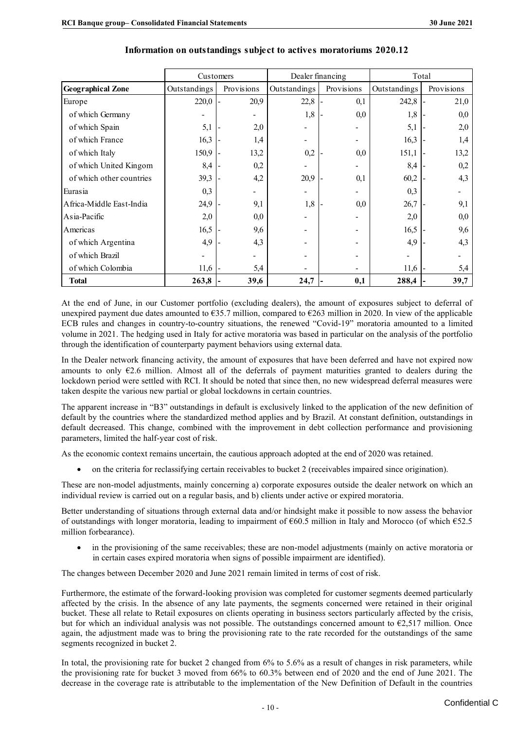|                          | Customers    |  |                          |              | Dealer financing | Total        |            |      |
|--------------------------|--------------|--|--------------------------|--------------|------------------|--------------|------------|------|
| <b>Geographical Zone</b> | Outstandings |  | Provisions               | Outstandings | Provisions       | Outstandings | Provisions |      |
| Europe                   | 220,0        |  | 20,9                     | 22,8         | 0,1              | 242,8        |            | 21,0 |
| of which Germany         |              |  | $\overline{\phantom{0}}$ | 1,8          | 0,0              | 1,8          |            | 0,0  |
| of which Spain           | 5,1          |  | 2,0                      |              |                  | 5,1          |            | 2,0  |
| of which France          | 16,3         |  | 1,4                      | -            |                  | 16,3         |            | 1,4  |
| of which Italy           | 150,9        |  | 13,2                     | 0,2          | 0,0              | 151,1        |            | 13,2 |
| of which United Kingom   | 8,4          |  | 0,2                      |              |                  | 8,4          |            | 0,2  |
| of which other countries | 39,3         |  | 4,2                      | 20,9         | 0,1              | 60,2         |            | 4,3  |
| Eurasia                  | 0,3          |  | $\overline{\phantom{0}}$ |              |                  | 0,3          |            |      |
| Africa-Middle East-India | 24,9         |  | 9,1                      | 1,8          | 0,0              | 26,7         |            | 9,1  |
| Asia-Pacific             | 2,0          |  | 0,0                      |              |                  | 2,0          |            | 0,0  |
| Americas                 | 16,5         |  | 9,6                      |              |                  | 16,5         |            | 9,6  |
| of which Argentina       | 4,9          |  | 4,3                      |              |                  | 4,9          |            | 4,3  |
| of which Brazil          |              |  | -                        |              |                  |              |            |      |
| of which Colombia        | 11,6         |  | 5,4                      |              |                  | 11,6         |            | 5,4  |
| <b>Total</b>             | 263,8        |  | 39,6                     | 24,7         | 0,1              | 288,4        |            | 39,7 |

#### **Information on outstandings subject to actives moratoriums 2020.12**

At the end of June, in our Customer portfolio (excluding dealers), the amount of exposures subject to deferral of unexpired payment due dates amounted to  $\epsilon$ 35.7 million, compared to  $\epsilon$ 263 million in 2020. In view of the applicable ECB rules and changes in country-to-country situations, the renewed "Covid-19" moratoria amounted to a limited volume in 2021. The hedging used in Italy for active moratoria was based in particular on the analysis of the portfolio through the identification of counterparty payment behaviors using external data.

In the Dealer network financing activity, the amount of exposures that have been deferred and have not expired now amounts to only  $E2.6$  million. Almost all of the deferrals of payment maturities granted to dealers during the lockdown period were settled with RCI. It should be noted that since then, no new widespread deferral measures were taken despite the various new partial or global lockdowns in certain countries.

The apparent increase in "B3" outstandings in default is exclusively linked to the application of the new definition of default by the countries where the standardized method applies and by Brazil. At constant definition, outstandings in default decreased. This change, combined with the improvement in debt collection performance and provisioning parameters, limited the half-year cost of risk.

As the economic context remains uncertain, the cautious approach adopted at the end of 2020 was retained.

• on the criteria for reclassifying certain receivables to bucket 2 (receivables impaired since origination).

These are non-model adjustments, mainly concerning a) corporate exposures outside the dealer network on which an individual review is carried out on a regular basis, and b) clients under active or expired moratoria.

Better understanding of situations through external data and/or hindsight make it possible to now assess the behavior of outstandings with longer moratoria, leading to impairment of  $\epsilon$ 60.5 million in Italy and Morocco (of which  $\epsilon$ 52.5 million forbearance).

in the provisioning of the same receivables; these are non-model adjustments (mainly on active moratoria or in certain cases expired moratoria when signs of possible impairment are identified).

The changes between December 2020 and June 2021 remain limited in terms of cost of risk.

Furthermore, the estimate of the forward-looking provision was completed for customer segments deemed particularly affected by the crisis. In the absence of any late payments, the segments concerned were retained in their original bucket. These all relate to Retail exposures on clients operating in business sectors particularly affected by the crisis, but for which an individual analysis was not possible. The outstandings concerned amount to  $\epsilon$ 2,517 million. Once again, the adjustment made was to bring the provisioning rate to the rate recorded for the outstandings of the same segments recognized in bucket 2.

In total, the provisioning rate for bucket 2 changed from 6% to 5.6% as a result of changes in risk parameters, while the provisioning rate for bucket 3 moved from 66% to 60.3% between end of 2020 and the end of June 2021. The decrease in the coverage rate is attributable to the implementation of the New Definition of Default in the countries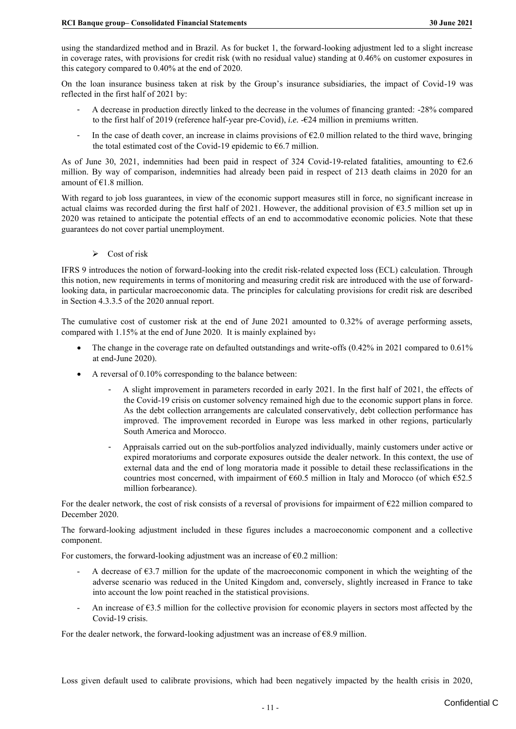using the standardized method and in Brazil. As for bucket 1, the forward-looking adjustment led to a slight increase in coverage rates, with provisions for credit risk (with no residual value) standing at 0.46% on customer exposures in this category compared to 0.40% at the end of 2020.

On the loan insurance business taken at risk by the Group's insurance subsidiaries, the impact of Covid-19 was reflected in the first half of 2021 by:

- A decrease in production directly linked to the decrease in the volumes of financing granted: -28% compared to the first half of 2019 (reference half-year pre-Covid), *i.e.* -€24 million in premiums written.
- In the case of death cover, an increase in claims provisions of  $E2.0$  million related to the third wave, bringing the total estimated cost of the Covid-19 epidemic to  $66.7$  million.

As of June 30, 2021, indemnities had been paid in respect of 324 Covid-19-related fatalities, amounting to  $\epsilon$ 2.6 million. By way of comparison, indemnities had already been paid in respect of 213 death claims in 2020 for an amount of €1.8 million.

With regard to job loss guarantees, in view of the economic support measures still in force, no significant increase in actual claims was recorded during the first half of 2021. However, the additional provision of  $63.5$  million set up in 2020 was retained to anticipate the potential effects of an end to accommodative economic policies. Note that these guarantees do not cover partial unemployment.

 $\triangleright$  Cost of risk

IFRS 9 introduces the notion of forward-looking into the credit risk-related expected loss (ECL) calculation. Through this notion, new requirements in terms of monitoring and measuring credit risk are introduced with the use of forwardlooking data, in particular macroeconomic data. The principles for calculating provisions for credit risk are described in Section 4.3.3.5 of the 2020 annual report.

The cumulative cost of customer risk at the end of June 2021 amounted to 0.32% of average performing assets, compared with 1.15% at the end of June 2020. It is mainly explained by:

- The change in the coverage rate on defaulted outstandings and write-offs (0.42% in 2021 compared to 0.61% at end-June 2020).
- A reversal of 0.10% corresponding to the balance between:
	- A slight improvement in parameters recorded in early 2021. In the first half of 2021, the effects of the Covid-19 crisis on customer solvency remained high due to the economic support plans in force. As the debt collection arrangements are calculated conservatively, debt collection performance has improved. The improvement recorded in Europe was less marked in other regions, particularly South America and Morocco.
	- Appraisals carried out on the sub-portfolios analyzed individually, mainly customers under active or expired moratoriums and corporate exposures outside the dealer network. In this context, the use of external data and the end of long moratoria made it possible to detail these reclassifications in the countries most concerned, with impairment of  $660.5$  million in Italy and Morocco (of which  $652.5$ million forbearance).

For the dealer network, the cost of risk consists of a reversal of provisions for impairment of  $\epsilon$ 22 million compared to December 2020.

The forward-looking adjustment included in these figures includes a macroeconomic component and a collective component.

For customers, the forward-looking adjustment was an increase of  $\epsilon$ 0.2 million:

- A decrease of  $63.7$  million for the update of the macroeconomic component in which the weighting of the adverse scenario was reduced in the United Kingdom and, conversely, slightly increased in France to take into account the low point reached in the statistical provisions.
- An increase of  $63.5$  million for the collective provision for economic players in sectors most affected by the Covid-19 crisis.

For the dealer network, the forward-looking adjustment was an increase of  $68.9$  million.

Loss given default used to calibrate provisions, which had been negatively impacted by the health crisis in 2020,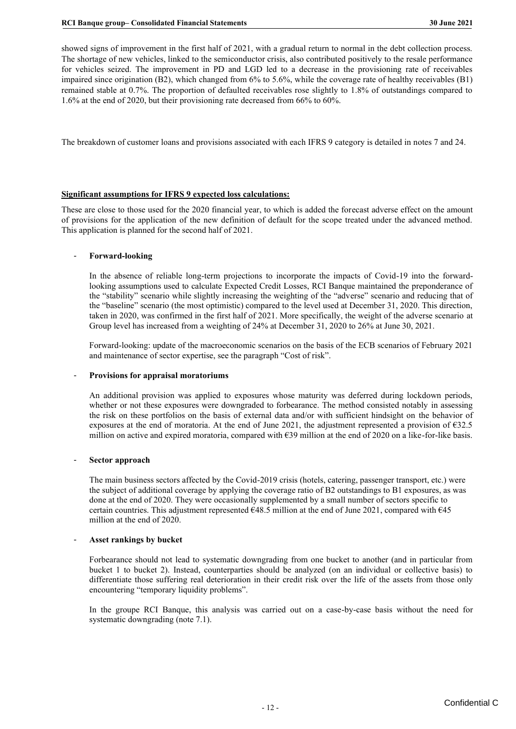showed signs of improvement in the first half of 2021, with a gradual return to normal in the debt collection process. The shortage of new vehicles, linked to the semiconductor crisis, also contributed positively to the resale performance for vehicles seized. The improvement in PD and LGD led to a decrease in the provisioning rate of receivables impaired since origination (B2), which changed from 6% to 5.6%, while the coverage rate of healthy receivables (B1) remained stable at 0.7%. The proportion of defaulted receivables rose slightly to 1.8% of outstandings compared to 1.6% at the end of 2020, but their provisioning rate decreased from 66% to 60%.

The breakdown of customer loans and provisions associated with each IFRS 9 category is detailed in notes 7 and 24.

#### **Significant assumptions for IFRS 9 expected loss calculations:**

These are close to those used for the 2020 financial year, to which is added the forecast adverse effect on the amount of provisions for the application of the new definition of default for the scope treated under the advanced method. This application is planned for the second half of 2021.

#### - **Forward-looking**

In the absence of reliable long-term projections to incorporate the impacts of Covid-19 into the forwardlooking assumptions used to calculate Expected Credit Losses, RCI Banque maintained the preponderance of the "stability" scenario while slightly increasing the weighting of the "adverse" scenario and reducing that of the "baseline" scenario (the most optimistic) compared to the level used at December 31, 2020. This direction, taken in 2020, was confirmed in the first half of 2021. More specifically, the weight of the adverse scenario at Group level has increased from a weighting of 24% at December 31, 2020 to 26% at June 30, 2021.

Forward-looking: update of the macroeconomic scenarios on the basis of the ECB scenarios of February 2021 and maintenance of sector expertise, see the paragraph "Cost of risk".

#### - **Provisions for appraisal moratoriums**

An additional provision was applied to exposures whose maturity was deferred during lockdown periods, whether or not these exposures were downgraded to forbearance. The method consisted notably in assessing the risk on these portfolios on the basis of external data and/or with sufficient hindsight on the behavior of exposures at the end of moratoria. At the end of June 2021, the adjustment represented a provision of €32.5 million on active and expired moratoria, compared with €39 million at the end of 2020 on a like-for-like basis.

#### - **Sector approach**

The main business sectors affected by the Covid-2019 crisis (hotels, catering, passenger transport, etc.) were the subject of additional coverage by applying the coverage ratio of B2 outstandings to B1 exposures, as was done at the end of 2020. They were occasionally supplemented by a small number of sectors specific to certain countries. This adjustment represented  $648.5$  million at the end of June 2021, compared with  $645$ million at the end of 2020.

#### - **Asset rankings by bucket**

Forbearance should not lead to systematic downgrading from one bucket to another (and in particular from bucket 1 to bucket 2). Instead, counterparties should be analyzed (on an individual or collective basis) to differentiate those suffering real deterioration in their credit risk over the life of the assets from those only encountering "temporary liquidity problems".

In the groupe RCI Banque, this analysis was carried out on a case-by-case basis without the need for systematic downgrading (note 7.1).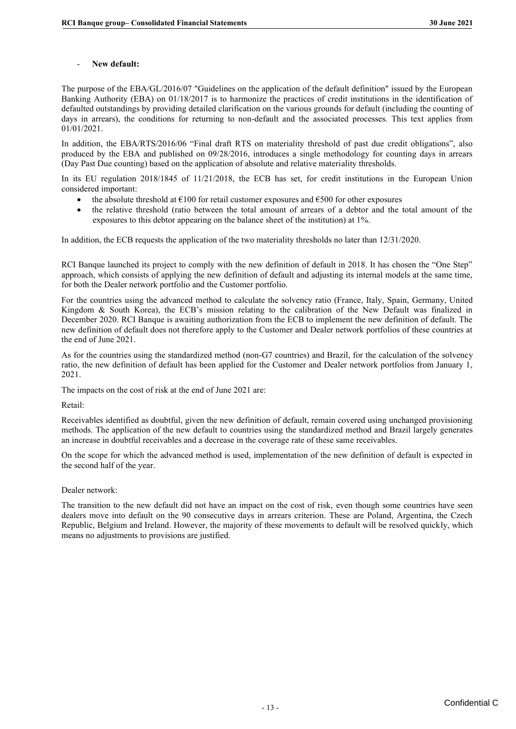#### - **New default:**

The purpose of the EBA/GL/2016/07 "Guidelines on the application of the default definition" issued by the European Banking Authority (EBA) on 01/18/2017 is to harmonize the practices of credit institutions in the identification of defaulted outstandings by providing detailed clarification on the various grounds for default (including the counting of days in arrears), the conditions for returning to non-default and the associated processes. This text applies from 01/01/2021.

In addition, the EBA/RTS/2016/06 "Final draft RTS on materiality threshold of past due credit obligations", also produced by the EBA and published on 09/28/2016, introduces a single methodology for counting days in arrears (Day Past Due counting) based on the application of absolute and relative materiality thresholds.

In its EU regulation 2018/1845 of 11/21/2018, the ECB has set, for credit institutions in the European Union considered important:

- the absolute threshold at  $\epsilon$ 100 for retail customer exposures and  $\epsilon$ 500 for other exposures
- the relative threshold (ratio between the total amount of arrears of a debtor and the total amount of the exposures to this debtor appearing on the balance sheet of the institution) at 1%.

In addition, the ECB requests the application of the two materiality thresholds no later than 12/31/2020.

RCI Banque launched its project to comply with the new definition of default in 2018. It has chosen the "One Step" approach, which consists of applying the new definition of default and adjusting its internal models at the same time, for both the Dealer network portfolio and the Customer portfolio.

For the countries using the advanced method to calculate the solvency ratio (France, Italy, Spain, Germany, United Kingdom & South Korea), the ECB's mission relating to the calibration of the New Default was finalized in December 2020. RCI Banque is awaiting authorization from the ECB to implement the new definition of default. The new definition of default does not therefore apply to the Customer and Dealer network portfolios of these countries at the end of June 2021.

As for the countries using the standardized method (non-G7 countries) and Brazil, for the calculation of the solvency ratio, the new definition of default has been applied for the Customer and Dealer network portfolios from January 1, 2021.

The impacts on the cost of risk at the end of June 2021 are:

Retail:

Receivables identified as doubtful, given the new definition of default, remain covered using unchanged provisioning methods. The application of the new default to countries using the standardized method and Brazil largely generates an increase in doubtful receivables and a decrease in the coverage rate of these same receivables.

On the scope for which the advanced method is used, implementation of the new definition of default is expected in the second half of the year.

#### Dealer network:

The transition to the new default did not have an impact on the cost of risk, even though some countries have seen dealers move into default on the 90 consecutive days in arrears criterion. These are Poland, Argentina, the Czech Republic, Belgium and Ireland. However, the majority of these movements to default will be resolved quickly, which means no adjustments to provisions are justified.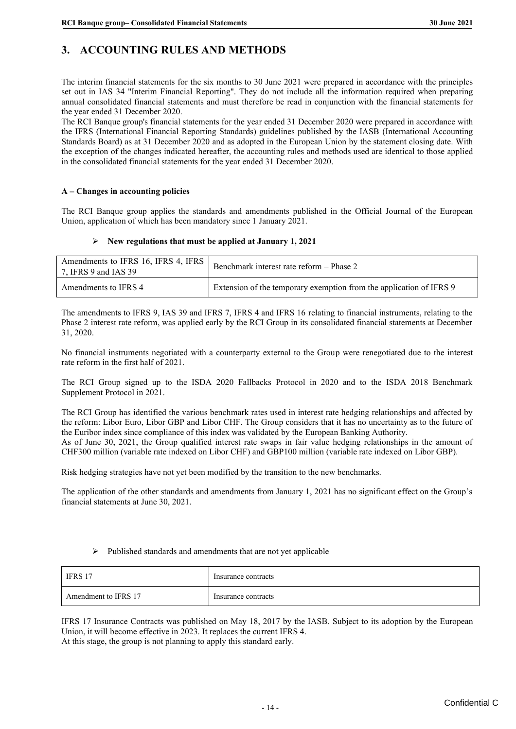## <span id="page-16-0"></span>**3. ACCOUNTING RULES AND METHODS**

The interim financial statements for the six months to 30 June 2021 were prepared in accordance with the principles set out in IAS 34 "Interim Financial Reporting". They do not include all the information required when preparing annual consolidated financial statements and must therefore be read in conjunction with the financial statements for the year ended 31 December 2020.

The RCI Banque group's financial statements for the year ended 31 December 2020 were prepared in accordance with the IFRS (International Financial Reporting Standards) guidelines published by the IASB (International Accounting Standards Board) as at 31 December 2020 and as adopted in the European Union by the statement closing date. With the exception of the changes indicated hereafter, the accounting rules and methods used are identical to those applied in the consolidated financial statements for the year ended 31 December 2020.

#### **A – Changes in accounting policies**

The RCI Banque group applies the standards and amendments published in the Official Journal of the European Union, application of which has been mandatory since 1 January 2021.

#### ➢ **New regulations that must be applied at January 1, 2021**

| Amendments to IFRS 16, IFRS 4, IFRS<br>7, IFRS 9 and IAS 39 | Benchmark interest rate reform - Phase 2                            |
|-------------------------------------------------------------|---------------------------------------------------------------------|
| Amendments to IFRS 4                                        | Extension of the temporary exemption from the application of IFRS 9 |

The amendments to IFRS 9, IAS 39 and IFRS 7, IFRS 4 and IFRS 16 relating to financial instruments, relating to the Phase 2 interest rate reform, was applied early by the RCI Group in its consolidated financial statements at December 31, 2020.

No financial instruments negotiated with a counterparty external to the Group were renegotiated due to the interest rate reform in the first half of 2021.

The RCI Group signed up to the ISDA 2020 Fallbacks Protocol in 2020 and to the ISDA 2018 Benchmark Supplement Protocol in 2021.

The RCI Group has identified the various benchmark rates used in interest rate hedging relationships and affected by the reform: Libor Euro, Libor GBP and Libor CHF. The Group considers that it has no uncertainty as to the future of the Euribor index since compliance of this index was validated by the European Banking Authority. As of June 30, 2021, the Group qualified interest rate swaps in fair value hedging relationships in the amount of CHF300 million (variable rate indexed on Libor CHF) and GBP100 million (variable rate indexed on Libor GBP).

Risk hedging strategies have not yet been modified by the transition to the new benchmarks.

The application of the other standards and amendments from January 1, 2021 has no significant effect on the Group's financial statements at June 30, 2021.

#### ➢ Published standards and amendments that are not yet applicable

| IFRS 17              | Insurance contracts |
|----------------------|---------------------|
| Amendment to IFRS 17 | Insurance contracts |

IFRS 17 Insurance Contracts was published on May 18, 2017 by the IASB. Subject to its adoption by the European Union, it will become effective in 2023. It replaces the current IFRS 4. At this stage, the group is not planning to apply this standard early.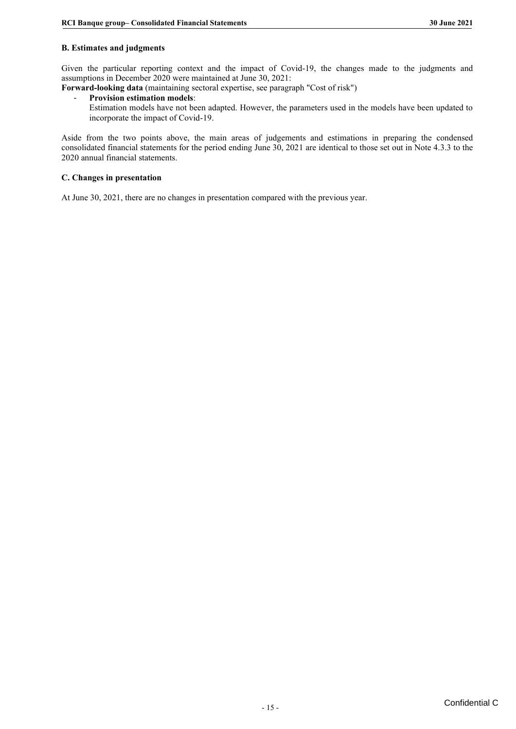#### **B. Estimates and judgments**

Given the particular reporting context and the impact of Covid-19, the changes made to the judgments and assumptions in December 2020 were maintained at June 30, 2021:

**Forward-looking data** (maintaining sectoral expertise, see paragraph "Cost of risk")

#### - **Provision estimation models**:

Estimation models have not been adapted. However, the parameters used in the models have been updated to incorporate the impact of Covid-19.

Aside from the two points above, the main areas of judgements and estimations in preparing the condensed consolidated financial statements for the period ending June 30, 2021 are identical to those set out in Note 4.3.3 to the 2020 annual financial statements.

#### **C. Changes in presentation**

At June 30, 2021, there are no changes in presentation compared with the previous year.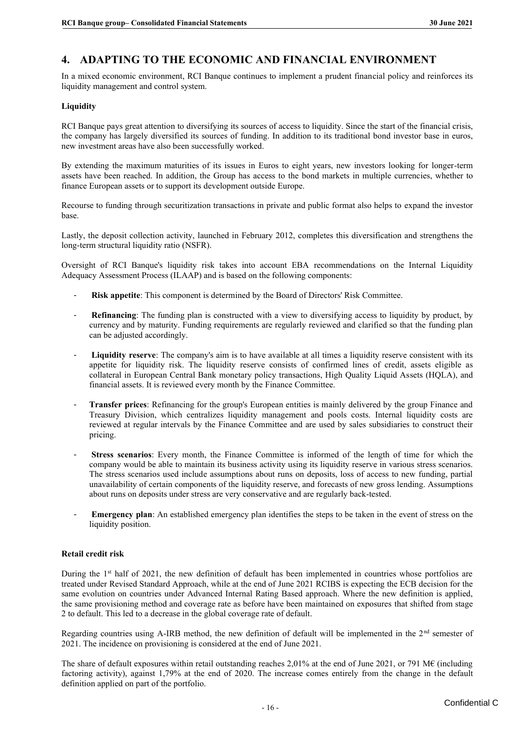## <span id="page-18-0"></span>**4. ADAPTING TO THE ECONOMIC AND FINANCIAL ENVIRONMENT**

In a mixed economic environment, RCI Banque continues to implement a prudent financial policy and reinforces its liquidity management and control system.

#### **Liquidity**

RCI Banque pays great attention to diversifying its sources of access to liquidity. Since the start of the financial crisis, the company has largely diversified its sources of funding. In addition to its traditional bond investor base in euros, new investment areas have also been successfully worked.

By extending the maximum maturities of its issues in Euros to eight years, new investors looking for longer-term assets have been reached. In addition, the Group has access to the bond markets in multiple currencies, whether to finance European assets or to support its development outside Europe.

Recourse to funding through securitization transactions in private and public format also helps to expand the investor base.

Lastly, the deposit collection activity, launched in February 2012, completes this diversification and strengthens the long-term structural liquidity ratio (NSFR).

Oversight of RCI Banque's liquidity risk takes into account EBA recommendations on the Internal Liquidity Adequacy Assessment Process (ILAAP) and is based on the following components:

- **Risk appetite**: This component is determined by the Board of Directors' Risk Committee.
- **Refinancing**: The funding plan is constructed with a view to diversifying access to liquidity by product, by currency and by maturity. Funding requirements are regularly reviewed and clarified so that the funding plan can be adjusted accordingly.
- **Liquidity reserve**: The company's aim is to have available at all times a liquidity reserve consistent with its appetite for liquidity risk. The liquidity reserve consists of confirmed lines of credit, assets eligible as collateral in European Central Bank monetary policy transactions, High Quality Liquid Assets (HQLA), and financial assets. It is reviewed every month by the Finance Committee.
- **Transfer prices**: Refinancing for the group's European entities is mainly delivered by the group Finance and Treasury Division, which centralizes liquidity management and pools costs. Internal liquidity costs are reviewed at regular intervals by the Finance Committee and are used by sales subsidiaries to construct their pricing.
- **Stress scenarios**: Every month, the Finance Committee is informed of the length of time for which the company would be able to maintain its business activity using its liquidity reserve in various stress scenarios. The stress scenarios used include assumptions about runs on deposits, loss of access to new funding, partial unavailability of certain components of the liquidity reserve, and forecasts of new gross lending. Assumptions about runs on deposits under stress are very conservative and are regularly back-tested.
- **Emergency plan**: An established emergency plan identifies the steps to be taken in the event of stress on the liquidity position.

#### **Retail credit risk**

During the  $1<sup>st</sup>$  half of 2021, the new definition of default has been implemented in countries whose portfolios are treated under Revised Standard Approach, while at the end of June 2021 RCIBS is expecting the ECB decision for the same evolution on countries under Advanced Internal Rating Based approach. Where the new definition is applied, the same provisioning method and coverage rate as before have been maintained on exposures that shifted from stage 2 to default. This led to a decrease in the global coverage rate of default.

Regarding countries using A-IRB method, the new definition of default will be implemented in the  $2<sup>nd</sup>$  semester of 2021. The incidence on provisioning is considered at the end of June 2021.

The share of default exposures within retail outstanding reaches 2,01% at the end of June 2021, or 791 M€ (including factoring activity), against 1,79% at the end of 2020. The increase comes entirely from the change in the default definition applied on part of the portfolio.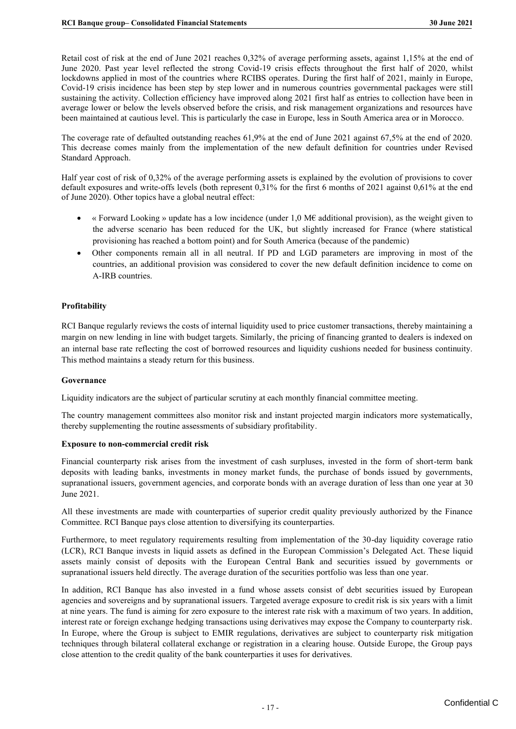Retail cost of risk at the end of June 2021 reaches 0,32% of average performing assets, against 1,15% at the end of June 2020. Past year level reflected the strong Covid-19 crisis effects throughout the first half of 2020, whilst lockdowns applied in most of the countries where RCIBS operates. During the first half of 2021, mainly in Europe, Covid-19 crisis incidence has been step by step lower and in numerous countries governmental packages were still sustaining the activity. Collection efficiency have improved along 2021 first half as entries to collection have been in average lower or below the levels observed before the crisis, and risk management organizations and resources have been maintained at cautious level. This is particularly the case in Europe, less in South America area or in Morocco.

The coverage rate of defaulted outstanding reaches 61,9% at the end of June 2021 against 67,5% at the end of 2020. This decrease comes mainly from the implementation of the new default definition for countries under Revised Standard Approach.

Half year cost of risk of 0,32% of the average performing assets is explained by the evolution of provisions to cover default exposures and write-offs levels (both represent 0,31% for the first 6 months of 2021 against 0,61% at the end of June 2020). Other topics have a global neutral effect:

- « Forward Looking » update has a low incidence (under 1,0 M€ additional provision), as the weight given to the adverse scenario has been reduced for the UK, but slightly increased for France (where statistical provisioning has reached a bottom point) and for South America (because of the pandemic)
- Other components remain all in all neutral. If PD and LGD parameters are improving in most of the countries, an additional provision was considered to cover the new default definition incidence to come on A-IRB countries.

#### **Profitability**

RCI Banque regularly reviews the costs of internal liquidity used to price customer transactions, thereby maintaining a margin on new lending in line with budget targets. Similarly, the pricing of financing granted to dealers is indexed on an internal base rate reflecting the cost of borrowed resources and liquidity cushions needed for business continuity. This method maintains a steady return for this business.

#### **Governance**

Liquidity indicators are the subject of particular scrutiny at each monthly financial committee meeting.

The country management committees also monitor risk and instant projected margin indicators more systematically, thereby supplementing the routine assessments of subsidiary profitability.

#### **Exposure to non-commercial credit risk**

Financial counterparty risk arises from the investment of cash surpluses, invested in the form of short-term bank deposits with leading banks, investments in money market funds, the purchase of bonds issued by governments, supranational issuers, government agencies, and corporate bonds with an average duration of less than one year at 30 June 2021.

All these investments are made with counterparties of superior credit quality previously authorized by the Finance Committee. RCI Banque pays close attention to diversifying its counterparties.

Furthermore, to meet regulatory requirements resulting from implementation of the 30-day liquidity coverage ratio (LCR), RCI Banque invests in liquid assets as defined in the European Commission's Delegated Act. These liquid assets mainly consist of deposits with the European Central Bank and securities issued by governments or supranational issuers held directly. The average duration of the securities portfolio was less than one year.

In addition, RCI Banque has also invested in a fund whose assets consist of debt securities issued by European agencies and sovereigns and by supranational issuers. Targeted average exposure to credit risk is six years with a limit at nine years. The fund is aiming for zero exposure to the interest rate risk with a maximum of two years. In addition, interest rate or foreign exchange hedging transactions using derivatives may expose the Company to counterparty risk. In Europe, where the Group is subject to EMIR regulations, derivatives are subject to counterparty risk mitigation techniques through bilateral collateral exchange or registration in a clearing house. Outside Europe, the Group pays close attention to the credit quality of the bank counterparties it uses for derivatives.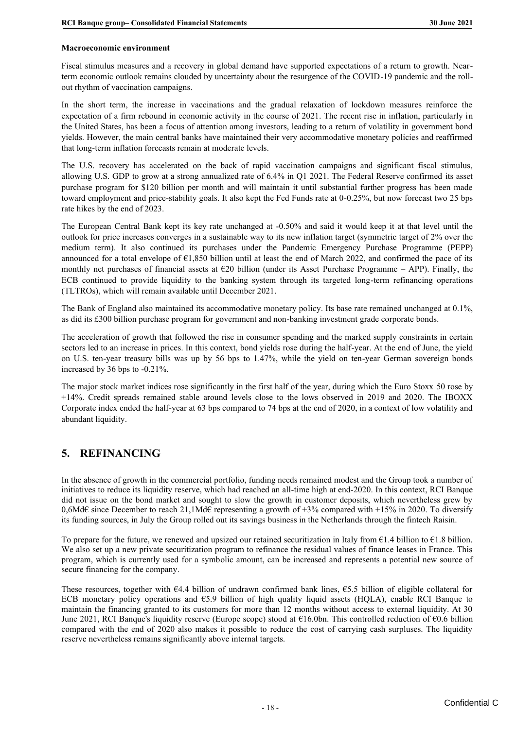#### **Macroeconomic environment**

Fiscal stimulus measures and a recovery in global demand have supported expectations of a return to growth. Nearterm economic outlook remains clouded by uncertainty about the resurgence of the COVID-19 pandemic and the rollout rhythm of vaccination campaigns.

In the short term, the increase in vaccinations and the gradual relaxation of lockdown measures reinforce the expectation of a firm rebound in economic activity in the course of 2021. The recent rise in inflation, particularly in the United States, has been a focus of attention among investors, leading to a return of volatility in government bond yields. However, the main central banks have maintained their very accommodative monetary policies and reaffirmed that long-term inflation forecasts remain at moderate levels.

The U.S. recovery has accelerated on the back of rapid vaccination campaigns and significant fiscal stimulus, allowing U.S. GDP to grow at a strong annualized rate of 6.4% in Q1 2021. The Federal Reserve confirmed its asset purchase program for \$120 billion per month and will maintain it until substantial further progress has been made toward employment and price-stability goals. It also kept the Fed Funds rate at 0-0.25%, but now forecast two 25 bps rate hikes by the end of 2023.

The European Central Bank kept its key rate unchanged at -0.50% and said it would keep it at that level until the outlook for price increases converges in a sustainable way to its new inflation target (symmetric target of 2% over the medium term). It also continued its purchases under the Pandemic Emergency Purchase Programme (PEPP) announced for a total envelope of €1,850 billion until at least the end of March 2022, and confirmed the pace of its monthly net purchases of financial assets at  $E20$  billion (under its Asset Purchase Programme – APP). Finally, the ECB continued to provide liquidity to the banking system through its targeted long-term refinancing operations (TLTROs), which will remain available until December 2021.

The Bank of England also maintained its accommodative monetary policy. Its base rate remained unchanged at 0.1%, as did its £300 billion purchase program for government and non-banking investment grade corporate bonds.

The acceleration of growth that followed the rise in consumer spending and the marked supply constraints in certain sectors led to an increase in prices. In this context, bond yields rose during the half-year. At the end of June, the yield on U.S. ten-year treasury bills was up by 56 bps to 1.47%, while the yield on ten-year German sovereign bonds increased by 36 bps to -0.21%.

The major stock market indices rose significantly in the first half of the year, during which the Euro Stoxx 50 rose by +14%. Credit spreads remained stable around levels close to the lows observed in 2019 and 2020. The IBOXX Corporate index ended the half-year at 63 bps compared to 74 bps at the end of 2020, in a context of low volatility and abundant liquidity.

## <span id="page-20-0"></span>**5. REFINANCING**

In the absence of growth in the commercial portfolio, funding needs remained modest and the Group took a number of initiatives to reduce its liquidity reserve, which had reached an all-time high at end-2020. In this context, RCI Banque did not issue on the bond market and sought to slow the growth in customer deposits, which nevertheless grew by 0,6Md€ since December to reach 21,1Md€ representing a growth of +3% compared with +15% in 2020. To diversify its funding sources, in July the Group rolled out its savings business in the Netherlands through the fintech Raisin.

To prepare for the future, we renewed and upsized our retained securitization in Italy from  $\epsilon$ 1.4 billion to  $\epsilon$ 1.8 billion. We also set up a new private securitization program to refinance the residual values of finance leases in France. This program, which is currently used for a symbolic amount, can be increased and represents a potential new source of secure financing for the company.

These resources, together with  $64.4$  billion of undrawn confirmed bank lines,  $65.5$  billion of eligible collateral for ECB monetary policy operations and €5.9 billion of high quality liquid assets (HQLA), enable RCI Banque to maintain the financing granted to its customers for more than 12 months without access to external liquidity. At 30 June 2021, RCI Banque's liquidity reserve (Europe scope) stood at €16.0bn. This controlled reduction of €0.6 billion compared with the end of 2020 also makes it possible to reduce the cost of carrying cash surpluses. The liquidity reserve nevertheless remains significantly above internal targets.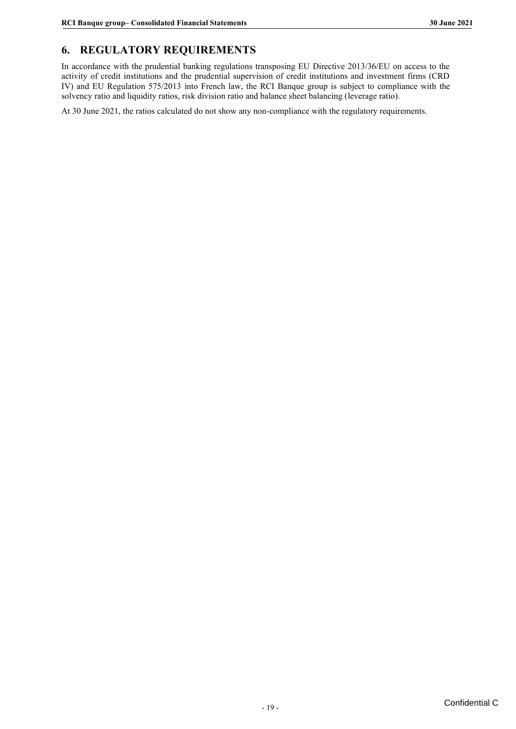## <span id="page-21-0"></span>**6. REGULATORY REQUIREMENTS**

In accordance with the prudential banking regulations transposing EU Directive 2013/36/EU on access to the activity of credit institutions and the prudential supervision of credit institutions and investment firms (CRD IV) and EU Regulation 575/2013 into French law, the RCI Banque group is subject to compliance with the solvency ratio and liquidity ratios, risk division ratio and balance sheet balancing (leverage ratio).

At 30 June 2021, the ratios calculated do not show any non-compliance with the regulatory requirements.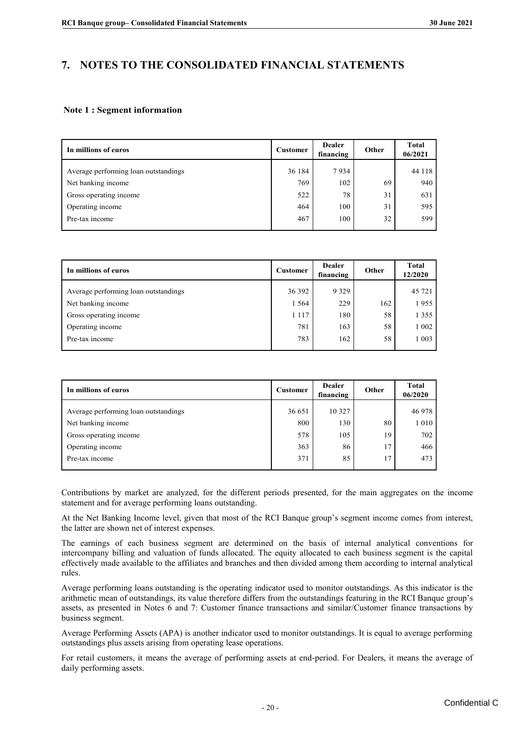## <span id="page-22-0"></span>**7. NOTES TO THE CONSOLIDATED FINANCIAL STATEMENTS**

#### **Note 1 : Segment information**

| In millions of euros<br><b>Customer</b> |        | <b>Dealer</b><br>financing | Other | <b>Total</b><br>06/2021 |
|-----------------------------------------|--------|----------------------------|-------|-------------------------|
| Average performing loan outstandings    | 36 184 | 7934                       |       | 44 118                  |
| Net banking income                      | 769    | 102                        | 69    | 940                     |
| Gross operating income                  | 522    | 78                         | 31    | 631                     |
| Operating income                        | 464    | 100                        | 31    | 595                     |
| Pre-tax income                          | 467    | 100                        | 32    | 599                     |

| In millions of euros                 | <b>Customer</b> | <b>Dealer</b><br>financing | Other | <b>Total</b><br>12/2020 |
|--------------------------------------|-----------------|----------------------------|-------|-------------------------|
| Average performing loan outstandings | 36 392          | 9 3 2 9                    |       | 45 721                  |
| Net banking income                   | 1 5 6 4         | 229                        | 162   | 1955                    |
| Gross operating income               | 1 1 1 7         | 180                        | 58    | 1 3 5 5                 |
| Operating income                     | 781             | 163                        | 58    | 1 0 0 2                 |
| Pre-tax income                       | 783             | 162                        | 58    | 1 0 0 3                 |

| In millions of euros                 | <b>Customer</b> | <b>Dealer</b><br>financing | Other | <b>Total</b><br>06/2020 |
|--------------------------------------|-----------------|----------------------------|-------|-------------------------|
| Average performing loan outstandings | 36 651          | 10 3 27                    |       | 46 978                  |
| Net banking income                   | 800             | 130                        | 80    | 1 0 1 0                 |
| Gross operating income               | 578             | 105                        | 19    | 702                     |
| Operating income                     | 363             | 86                         | 17    | 466                     |
| Pre-tax income                       | 371             | 85                         | 17    | 473                     |

Contributions by market are analyzed, for the different periods presented, for the main aggregates on the income statement and for average performing loans outstanding.

At the Net Banking Income level, given that most of the RCI Banque group's segment income comes from interest, the latter are shown net of interest expenses.

The earnings of each business segment are determined on the basis of internal analytical conventions for intercompany billing and valuation of funds allocated. The equity allocated to each business segment is the capital effectively made available to the affiliates and branches and then divided among them according to internal analytical rules.

Average performing loans outstanding is the operating indicator used to monitor outstandings. As this indicator is the arithmetic mean of outstandings, its value therefore differs from the outstandings featuring in the RCI Banque group's assets, as presented in Notes 6 and 7: Customer finance transactions and similar/Customer finance transactions by business segment.

Average Performing Assets (APA) is another indicator used to monitor outstandings. It is equal to average performing outstandings plus assets arising from operating lease operations.

For retail customers, it means the average of performing assets at end-period. For Dealers, it means the average of daily performing assets.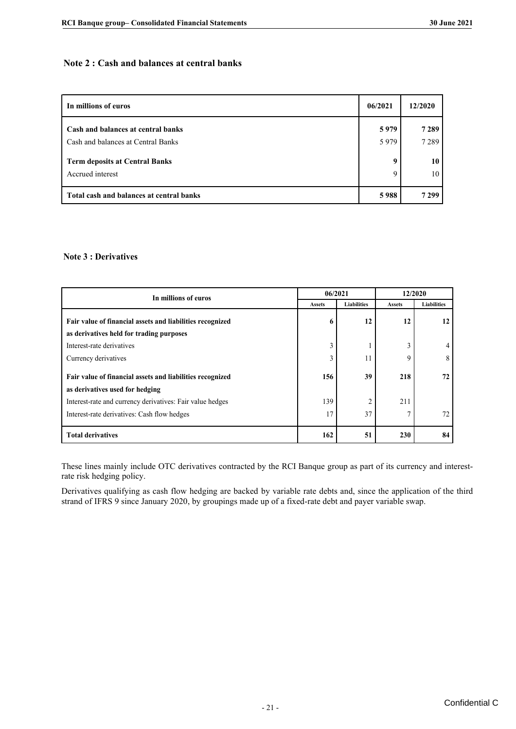#### **Note 2 : Cash and balances at central banks**

| In millions of euros                     | 06/2021 | 12/2020 |
|------------------------------------------|---------|---------|
| Cash and balances at central banks       | 5979    | 7289    |
| Cash and balances at Central Banks       | 5979    | 7 2 8 9 |
| <b>Term deposits at Central Banks</b>    | 9       | 10      |
| Accrued interest                         | 9       | 10      |
| Total cash and balances at central banks | 5988    | 7 2 9 9 |

#### **Note 3 : Derivatives**

| In millions of euros                                      |               | 06/2021            | 12/2020       |                    |  |
|-----------------------------------------------------------|---------------|--------------------|---------------|--------------------|--|
|                                                           | <b>Assets</b> | <b>Liabilities</b> | <b>Assets</b> | <b>Liabilities</b> |  |
| Fair value of financial assets and liabilities recognized | 6             | 12                 | 12            | 12                 |  |
| as derivatives held for trading purposes                  |               |                    |               |                    |  |
| Interest-rate derivatives                                 | 3             |                    | ∍             | 4                  |  |
| Currency derivatives                                      | $\mathbf{3}$  | 11                 | q             | 8                  |  |
| Fair value of financial assets and liabilities recognized | 156           | 39                 | 218           | 72                 |  |
| as derivatives used for hedging                           |               |                    |               |                    |  |
| Interest-rate and currency derivatives: Fair value hedges | 139           | 2                  | 211           |                    |  |
| Interest-rate derivatives: Cash flow hedges               | 17            | 37                 |               | 72                 |  |
| <b>Total derivatives</b>                                  | 162           | 51                 | 230           | 84                 |  |

These lines mainly include OTC derivatives contracted by the RCI Banque group as part of its currency and interestrate risk hedging policy.

Derivatives qualifying as cash flow hedging are backed by variable rate debts and, since the application of the third strand of IFRS 9 since January 2020, by groupings made up of a fixed-rate debt and payer variable swap.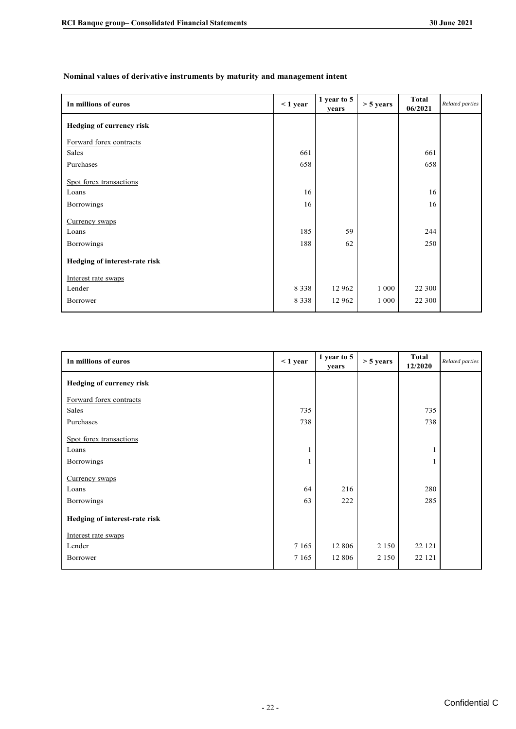#### Nominal values of derivative instruments by maturity and management intent

| In millions of euros            | $< 1$ year | 1 year to 5<br>years | $> 5$ years | Total<br>06/2021 | Related parties |
|---------------------------------|------------|----------------------|-------------|------------------|-----------------|
| <b>Hedging of currency risk</b> |            |                      |             |                  |                 |
| Forward forex contracts         |            |                      |             |                  |                 |
| Sales                           | 661        |                      |             | 661              |                 |
| Purchases                       | 658        |                      |             | 658              |                 |
| Spot forex transactions         | 16         |                      |             | 16               |                 |
| Loans                           |            |                      |             |                  |                 |
| Borrowings                      | 16         |                      |             | 16               |                 |
| Currency swaps                  |            |                      |             |                  |                 |
| Loans                           | 185        | 59                   |             | 244              |                 |
| Borrowings                      | 188        | 62                   |             | 250              |                 |
| Hedging of interest-rate risk   |            |                      |             |                  |                 |
| Interest rate swaps             |            |                      |             |                  |                 |
| Lender                          | 8 3 3 8    | 12 962               | 1 0 0 0     | 22 300           |                 |
| Borrower                        | 8 3 3 8    | 12 962               | 1 0 0 0     | 22 300           |                 |

| In millions of euros            | $<$ 1 year | 1 year to 5<br>years | $> 5$ years | <b>Total</b><br>12/2020 | Related parties |
|---------------------------------|------------|----------------------|-------------|-------------------------|-----------------|
| <b>Hedging of currency risk</b> |            |                      |             |                         |                 |
| Forward forex contracts         |            |                      |             |                         |                 |
| Sales                           | 735        |                      |             | 735                     |                 |
| Purchases                       | 738        |                      |             | 738                     |                 |
| Spot forex transactions         |            |                      |             |                         |                 |
| Loans                           |            |                      |             |                         |                 |
| Borrowings                      |            |                      |             |                         |                 |
| Currency swaps                  |            |                      |             |                         |                 |
| Loans                           | 64         | 216                  |             | 280                     |                 |
| Borrowings                      | 63         | 222                  |             | 285                     |                 |
| Hedging of interest-rate risk   |            |                      |             |                         |                 |
| Interest rate swaps             |            |                      |             |                         |                 |
| Lender                          | 7 1 6 5    | 12 806               | 2 1 5 0     | 22 12 1                 |                 |
| Borrower                        | 7 1 6 5    | 12 806               | 2 1 5 0     | 22 12 1                 |                 |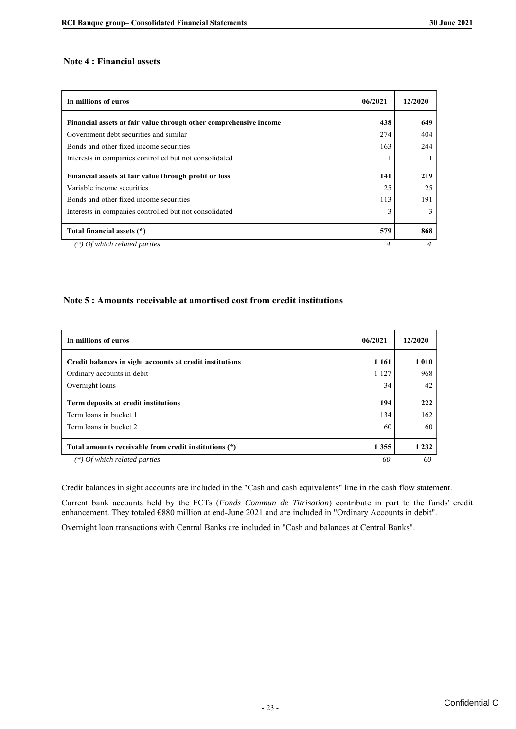#### **Note 4 : Financial assets**

| In millions of euros                                              | 06/2021 | 12/2020 |
|-------------------------------------------------------------------|---------|---------|
| Financial assets at fair value through other comprehensive income | 438     | 649     |
| Government debt securities and similar                            | 274     | 404     |
| Bonds and other fixed income securities                           | 163     | 244     |
| Interests in companies controlled but not consolidated            |         |         |
| Financial assets at fair value through profit or loss             | 141     | 219     |
| Variable income securities                                        | 25      | 25      |
| Bonds and other fixed income securities                           | 113     | 191     |
| Interests in companies controlled but not consolidated            | 3       | 3       |
| Total financial assets (*)                                        | 579     | 868     |
| (*) Of which related parties                                      |         |         |

#### Note 5 : Amounts receivable at amortised cost from credit institutions

| In millions of euros                                     | 06/2021 | 12/2020 |
|----------------------------------------------------------|---------|---------|
| Credit balances in sight accounts at credit institutions | 1 1 6 1 | 1010    |
| Ordinary accounts in debit                               | 1 1 2 7 | 968     |
| Overnight loans                                          | 34      | 42      |
| Term deposits at credit institutions                     | 194     | 222     |
| Term loans in bucket 1                                   | 134     | 162     |
| Term loans in bucket 2                                   | 60      | 60      |
| Total amounts receivable from credit institutions (*)    | 1355    | 1 2 3 2 |
| $(*)$ Of which related parties                           | 60      | 60      |

Credit balances in sight accounts are included in the "Cash and cash equivalents" line in the cash flow statement.

Current bank accounts held by the FCTs (*Fonds Commun de Titrisation*) contribute in part to the funds' credit enhancement. They totaled €880 million at end-June 2021 and are included in "Ordinary Accounts in debit".

Overnight loan transactions with Central Banks are included in "Cash and balances at Central Banks".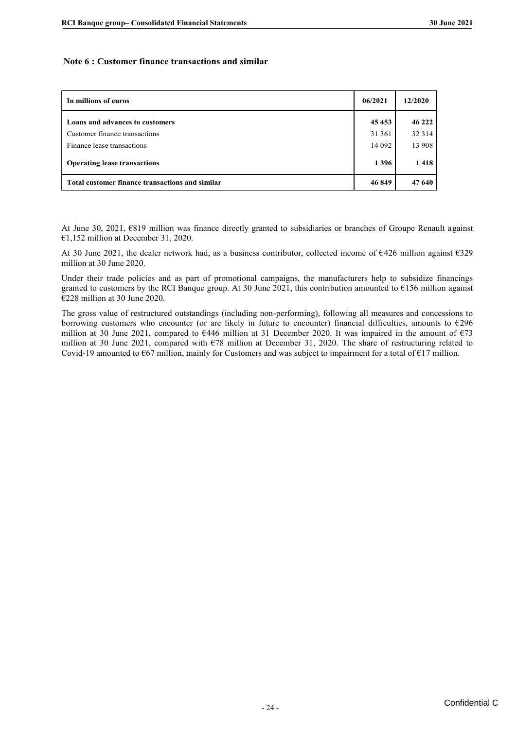#### **Note 6 : Customer finance transactions and similar**

| In millions of euros                                        | 06/2021          | 12/2020          |
|-------------------------------------------------------------|------------------|------------------|
| Loans and advances to customers                             | 45453            | 46 222           |
| Customer finance transactions<br>Finance lease transactions | 31 361<br>14 092 | 32 314<br>13 908 |
| <b>Operating lease transactions</b>                         | 1396             | 1418             |
| Total customer finance transactions and similar             | 46849            | 47 640           |

At June 30, 2021, €819 million was finance directly granted to subsidiaries or branches of Groupe Renault against €1,152 million at December 31, 2020.

At 30 June 2021, the dealer network had, as a business contributor, collected income of €426 million against €329 million at 30 June 2020.

Under their trade policies and as part of promotional campaigns, the manufacturers help to subsidize financings granted to customers by the RCI Banque group. At 30 June 2021, this contribution amounted to €156 million against €228 million at 30 June 2020.

The gross value of restructured outstandings (including non-performing), following all measures and concessions to borrowing customers who encounter (or are likely in future to encounter) financial difficulties, amounts to €296 million at 30 June 2021, compared to €446 million at 31 December 2020. It was impaired in the amount of €73 million at 30 June 2021, compared with €78 million at December 31, 2020. The share of restructuring related to Covid-19 amounted to  $667$  million, mainly for Customers and was subject to impairment for a total of  $617$  million.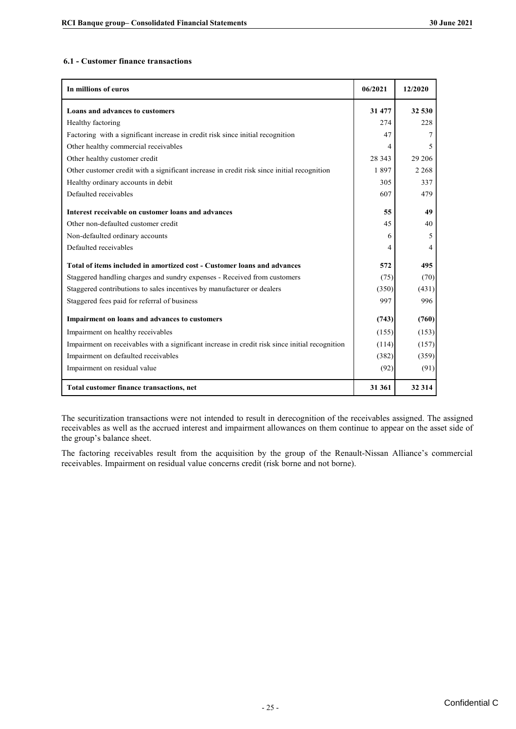#### **6.1 - Customer finance transactions**

| 6.1 - Customer finance transactions                                                            |          |         |
|------------------------------------------------------------------------------------------------|----------|---------|
| In millions of euros                                                                           | 06/2021  | 12/2020 |
| Loans and advances to customers                                                                | 31 477   | 32 530  |
| Healthy factoring                                                                              | 274      | 228     |
| Factoring with a significant increase in credit risk since initial recognition                 | 47       | 7       |
| Other healthy commercial receivables                                                           | 4        | 5       |
| Other healthy customer credit                                                                  | 28 3 4 3 | 29 20 6 |
| Other customer credit with a significant increase in credit risk since initial recognition     | 1897     | 2 2 6 8 |
| Healthy ordinary accounts in debit                                                             | 305      | 337     |
| Defaulted receivables                                                                          | 607      | 479     |
| Interest receivable on customer loans and advances                                             | 55       | 49      |
| Other non-defaulted customer credit                                                            | 45       | 40      |
| Non-defaulted ordinary accounts                                                                | 6        | 5       |
| Defaulted receivables                                                                          | 4        | 4       |
| Total of items included in amortized cost - Customer loans and advances                        | 572      | 495     |
| Staggered handling charges and sundry expenses - Received from customers                       | (75)     | (70)    |
| Staggered contributions to sales incentives by manufacturer or dealers                         | (350)    | (431)   |
| Staggered fees paid for referral of business                                                   | 997      | 996     |
| Impairment on loans and advances to customers                                                  | (743)    | (760)   |
| Impairment on healthy receivables                                                              | (155)    | (153)   |
| Impairment on receivables with a significant increase in credit risk since initial recognition | (114)    | (157)   |
| Impairment on defaulted receivables                                                            | (382)    | (359)   |
| Impairment on residual value                                                                   | (92)     | (91)    |
| Total customer finance transactions, net                                                       | 31 361   | 32 314  |

The securitization transactions were not intended to result in derecognition of the receivables assigned. The assigned receivables as well as the accrued interest and impairment allowances on them continue to appear on the asset side of the group's balance sheet.

The factoring receivables result from the acquisition by the group of the Renault-Nissan Alliance's commercial receivables. Impairment on residual value concerns credit (risk borne and not borne).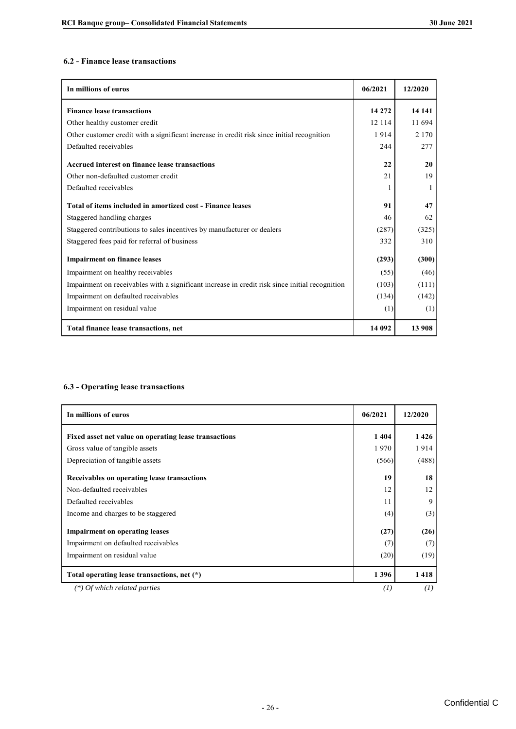#### **6.2 - Finance lease transactions**

| In millions of euros                                                                           | 06/2021 | 12/2020 |
|------------------------------------------------------------------------------------------------|---------|---------|
| <b>Finance lease transactions</b>                                                              | 14 272  | 14 14 1 |
| Other healthy customer credit                                                                  | 12 1 14 | 11 694  |
| Other customer credit with a significant increase in credit risk since initial recognition     | 1914    | 2 1 7 0 |
| Defaulted receivables                                                                          | 244     | 277     |
| Accrued interest on finance lease transactions                                                 | 22      | 20      |
| Other non-defaulted customer credit                                                            | 21      | 19      |
| Defaulted receivables                                                                          |         |         |
| Total of items included in amortized cost - Finance leases                                     | 91      | 47      |
| Staggered handling charges                                                                     | 46      | 62      |
| Staggered contributions to sales incentives by manufacturer or dealers                         | (287)   | (325)   |
| Staggered fees paid for referral of business                                                   | 332     | 310     |
| <b>Impairment on finance leases</b>                                                            | (293)   | (300)   |
| Impairment on healthy receivables                                                              | (55)    | (46)    |
| Impairment on receivables with a significant increase in credit risk since initial recognition | (103)   | (111)   |
| Impairment on defaulted receivables                                                            | (134)   | (142)   |
| Impairment on residual value                                                                   | (1)     | (1)     |
| Total finance lease transactions, net                                                          | 14 092  | 13 908  |

#### **6.3 - Operating lease transactions**

| In millions of euros                                  | 06/2021 | 12/2020 |
|-------------------------------------------------------|---------|---------|
| Fixed asset net value on operating lease transactions | 1404    | 1426    |
| Gross value of tangible assets                        | 1970    | 1914    |
| Depreciation of tangible assets                       | (566)   | (488)   |
| Receivables on operating lease transactions           | 19      | 18      |
| Non-defaulted receivables                             | 12      | 12      |
| Defaulted receivables                                 | 11      | 9       |
| Income and charges to be staggered                    | (4)     | (3)     |
| <b>Impairment on operating leases</b>                 | (27)    | (26)    |
| Impairment on defaulted receivables                   | (7)     | (7)     |
| Impairment on residual value                          | (20)    | (19)    |
| Total operating lease transactions, net (*)           | 1396    | 1418    |
| $(*)$ Of which related parties                        | (I)     | (I)     |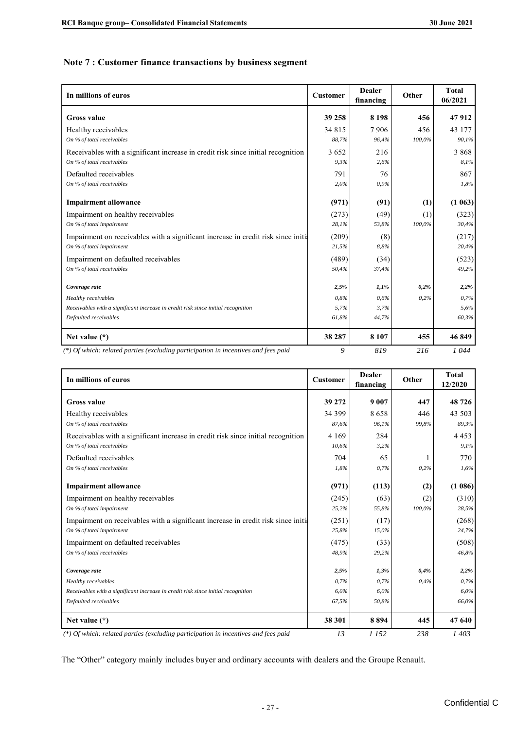#### **Note 7 : Customer finance transactions by business segment**

| In millions of euros                                                                                              | <b>Customer</b> | <b>Dealer</b><br>financing | Other         | <b>Total</b><br>06/2021 |
|-------------------------------------------------------------------------------------------------------------------|-----------------|----------------------------|---------------|-------------------------|
| <b>Gross value</b>                                                                                                | 39 258          | 8 1 9 8                    | 456           | 47912                   |
| Healthy receivables<br>On % of total receivables                                                                  | 34 815<br>88,7% | 7906<br>96.4%              | 456<br>100,0% | 43 177<br>90,1%         |
| Receivables with a significant increase in credit risk since initial recognition                                  | 3652            | 216                        |               | 3868                    |
| On % of total receivables                                                                                         | 9.3%            | 2.6%                       |               | 8,1%                    |
| Defaulted receivables                                                                                             | 791             | 76                         |               | 867                     |
| On % of total receivables                                                                                         | 2,0%            | 0,9%                       |               | 1,8%                    |
| <b>Impairment allowance</b>                                                                                       | (971)           | (91)                       | (1)           | (1063)                  |
| Impairment on healthy receivables                                                                                 | (273)           | (49)                       | (1)           | (323)                   |
| On % of total impairment                                                                                          | 28,1%           | 53,8%                      | 100,0%        | 30,4%                   |
| Impairment on receivables with a significant increase in credit risk since initial                                | (209)           | (8)                        |               | (217)                   |
| On % of total impairment                                                                                          | 21,5%           | 8,8%                       |               | 20,4%                   |
| Impairment on defaulted receivables                                                                               | (489)           | (34)                       |               | (523)                   |
| On % of total receivables                                                                                         | 50,4%           | 37,4%                      |               | 49,2%                   |
| Coverage rate                                                                                                     | 2,5%            | $1.1\%$                    | 0,2%          | 2,2%                    |
| Healthy receivables                                                                                               | 0.8%            | 0.6%                       | 0,2%          | 0,7%                    |
| Receivables with a significant increase in credit risk since initial recognition                                  | 5,7%            | 3,7%                       |               | 5,6%                    |
| Defaulted receivables                                                                                             | 61,8%           | 44,7%                      |               | 60,3%                   |
| Net value $(*)$                                                                                                   | 38 287          | 8 1 0 7                    | 455           | 46849                   |
| $(\ast)$ $\alpha$ functions and set of second constructions are set of second on the construction and force and J | $\Omega$        | 010                        | 216           | 1.044                   |

*(\*) Of which: related parties (excluding participation in incentives and fees paid 9 819 216 1 044* 

| In millions of euros                                                               | <b>Customer</b> | <b>Dealer</b><br>financing | Other  | <b>Total</b><br>12/2020 |
|------------------------------------------------------------------------------------|-----------------|----------------------------|--------|-------------------------|
| <b>Gross value</b>                                                                 | 39 272          | 9 0 0 7                    | 447    | 48726                   |
| Healthy receivables                                                                | 34 399          | 8658                       | 446    | 43 503                  |
| On % of total receivables                                                          | 87,6%           | 96,1%                      | 99,8%  | 89,3%                   |
| Receivables with a significant increase in credit risk since initial recognition   | 4 1 6 9         | 284                        |        | 4 4 5 3                 |
| On % of total receivables                                                          | 10,6%           | 3,2%                       |        | 9,1%                    |
| Defaulted receivables                                                              | 704             | 65                         |        | 770                     |
| On % of total receivables                                                          | 1,8%            | 0,7%                       | 0,2%   | 1,6%                    |
| <b>Impairment allowance</b>                                                        | (971)           | (113)                      | (2)    | (1086)                  |
| Impairment on healthy receivables                                                  | (245)           | (63)                       | (2)    | (310)                   |
| On % of total impairment                                                           | 25,2%           | 55,8%                      | 100,0% | 28,5%                   |
| Impairment on receivables with a significant increase in credit risk since initia  | (251)           | (17)                       |        | (268)                   |
| On % of total impairment                                                           | 25,8%           | 15,0%                      |        | 24,7%                   |
| Impairment on defaulted receivables                                                | (475)           | (33)                       |        | (508)                   |
| On % of total receivables                                                          | 48,9%           | 29,2%                      |        | 46,8%                   |
| Coverage rate                                                                      | 2,5%            | 1,3%                       | 0,4%   | 2,2%                    |
| Healthy receivables                                                                | 0.7%            | 0,7%                       | 0,4%   | 0.7%                    |
| Receivables with a significant increase in credit risk since initial recognition   | 6.0%            | 6,0%                       |        | 6.0%                    |
| Defaulted receivables                                                              | 67,5%           | 50,8%                      |        | 66,0%                   |
| Net value $(*)$                                                                    | 38 301          | 8894                       | 445    | 47 640                  |
| (*) Of which: related parties (excluding participation in incentives and fees paid | 13              | 1 1 5 2                    | 238    | 1403                    |

The "Other" category mainly includes buyer and ordinary accounts with dealers and the Groupe Renault.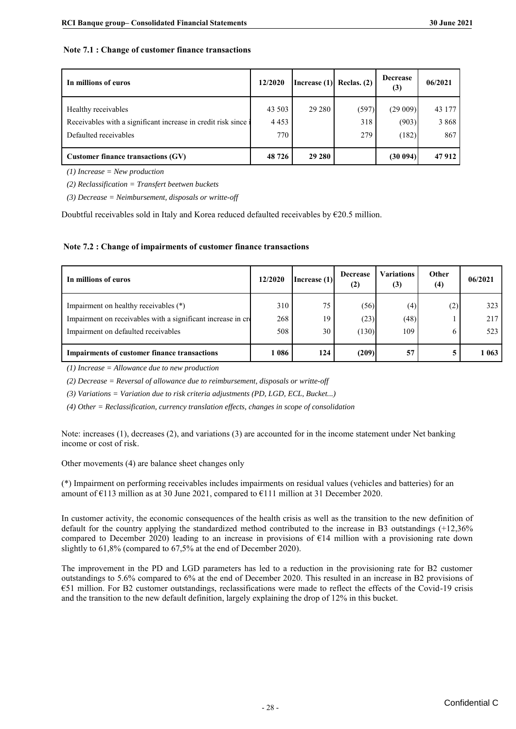#### **Note 7.1 : Change of customer finance transactions**

| In millions of euros                                           | 12/2020 | Increase (1) | Reclas. $(2)$ | <b>Decrease</b><br>(3) | 06/2021 |
|----------------------------------------------------------------|---------|--------------|---------------|------------------------|---------|
| Healthy receivables                                            | 43 503  | 29 280       | (597)         | (29009)                | 43 177  |
| Receivables with a significant increase in credit risk since i | 4 4 5 3 |              | 318           | (903)                  | 3 8 6 8 |
| Defaulted receivables                                          | 770     |              | 279           | (182)                  | 867     |
| Customer finance transactions (GV)                             | 48 726  | 29 280       |               | (30094)                | 47912   |
| $(1)$ Ingrace $\lambda$ Mournmanian                            |         |              |               |                        |         |

*(1) Increase = New production*

*(2) Reclassification = Transfert beetwen buckets*

*(3) Decrease = Neimbursement, disposals or writte-off*

Doubtful receivables sold in Italy and Korea reduced defaulted receivables by €20.5 million.

#### **Note 7.2 : Change of impairments of customer finance transactions**

| In millions of euros                                                                                                                         | 12/2020           | Increase (1)   | <b>Decrease</b><br>(2) | Variations<br>(3)  | Other<br>(4) | 06/2021           |
|----------------------------------------------------------------------------------------------------------------------------------------------|-------------------|----------------|------------------------|--------------------|--------------|-------------------|
| Impairment on healthy receivables (*)<br>Impairment on receivables with a significant increase in cre<br>Impairment on defaulted receivables | 310<br>268<br>508 | 75<br>19<br>30 | (56)<br>(23)<br>(130)  | (4)<br>(48)<br>109 | (2)          | 323<br>217<br>523 |
| <b>Impairments of customer finance transactions</b>                                                                                          | 086               | 124            | (209)                  | 57                 |              | 1 0 6 3           |

*(1) Increase = Allowance due to new production*

*(2) Decrease = Reversal of allowance due to reimbursement, disposals or writte-off*

*(3) Variations = Variation due to risk criteria adjustments (PD, LGD, ECL, Bucket...)*

*(4) Other = Reclassification, currency translation effects, changes in scope of consolidation*

Note: increases (1), decreases (2), and variations (3) are accounted for in the income statement under Net banking income or cost of risk.

Other movements (4) are balance sheet changes only

(\*) Impairment on performing receivables includes impairments on residual values (vehicles and batteries) for an amount of  $\epsilon$ 113 million as at 30 June 2021, compared to  $\epsilon$ 111 million at 31 December 2020.

In customer activity, the economic consequences of the health crisis as well as the transition to the new definition of default for the country applying the standardized method contributed to the increase in B3 outstandings (+12,36% compared to December 2020) leading to an increase in provisions of  $E14$  million with a provisioning rate down slightly to 61,8% (compared to 67,5% at the end of December 2020).

The improvement in the PD and LGD parameters has led to a reduction in the provisioning rate for B2 customer outstandings to 5.6% compared to 6% at the end of December 2020. This resulted in an increase in B2 provisions of €51 million. For B2 customer outstandings, reclassifications were made to reflect the effects of the Covid-19 crisis and the transition to the new default definition, largely explaining the drop of 12% in this bucket.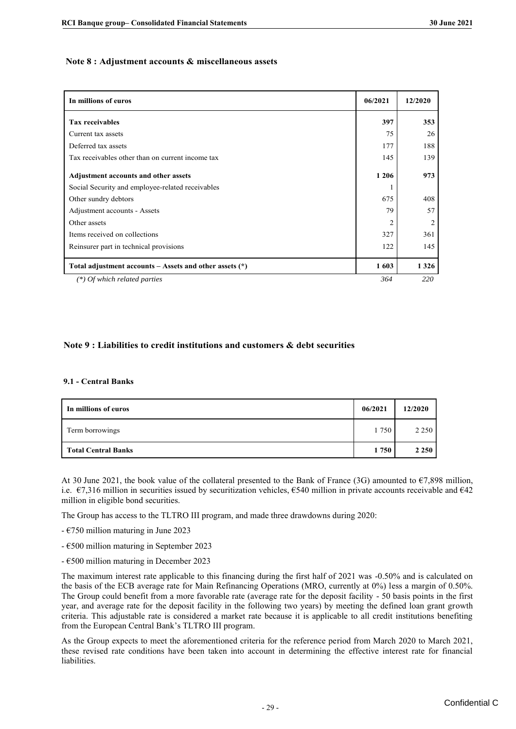#### Note 8 : Adjustment accounts & miscellaneous assets

| In millions of euros                                        | 06/2021        | 12/2020        |
|-------------------------------------------------------------|----------------|----------------|
| <b>Tax receivables</b>                                      | 397            | 353            |
| Current tax assets                                          | 75             | 26             |
| Deferred tax assets                                         | 177            | 188            |
| Tax receivables other than on current income tax            | 145            | 139            |
| Adjustment accounts and other assets                        | 1 2 0 6        | 973            |
| Social Security and employee-related receivables            |                |                |
| Other sundry debtors                                        | 675            | 408            |
| Adjustment accounts - Assets                                | 79             | 57             |
| Other assets                                                | $\overline{2}$ | $\overline{c}$ |
| Items received on collections                               | 327            | 361            |
| Reinsurer part in technical provisions                      | 122            | 145            |
| Total adjustment accounts $-$ Assets and other assets $(*)$ | 1603           | 1 3 2 6        |
| $(*)$ Of which related parties                              | 364            | 220            |

#### **Note 9 : Liabilities to credit institutions and customers & debt securities**

#### **9.1 - Central Banks**

| 9.1 - Central Banks        |         |         |
|----------------------------|---------|---------|
| In millions of euros       | 06/2021 | 12/2020 |
| Term borrowings            | 1750    | 2 2 5 0 |
| <b>Total Central Banks</b> | 1750    | 2 2 5 0 |

At 30 June 2021, the book value of the collateral presented to the Bank of France (3G) amounted to  $\epsilon$ 7,898 million, i.e.  $\epsilon$ 7,316 million in securities issued by securitization vehicles,  $\epsilon$ 540 million in private accounts receivable and  $\epsilon$ 42 million in eligible bond securities.

The Group has access to the TLTRO III program, and made three drawdowns during 2020:

- $\epsilon$ 750 million maturing in June 2023
- €500 million maturing in September 2023
- €500 million maturing in December 2023

The maximum interest rate applicable to this financing during the first half of 2021 was -0.50% and is calculated on the basis of the ECB average rate for Main Refinancing Operations (MRO, currently at 0%) less a margin of 0.50%. The Group could benefit from a more favorable rate (average rate for the deposit facility - 50 basis points in the first year, and average rate for the deposit facility in the following two years) by meeting the defined loan grant growth criteria. This adjustable rate is considered a market rate because it is applicable to all credit institutions benefiting from the European Central Bank's TLTRO III program.

As the Group expects to meet the aforementioned criteria for the reference period from March 2020 to March 2021, these revised rate conditions have been taken into account in determining the effective interest rate for financial liabilities.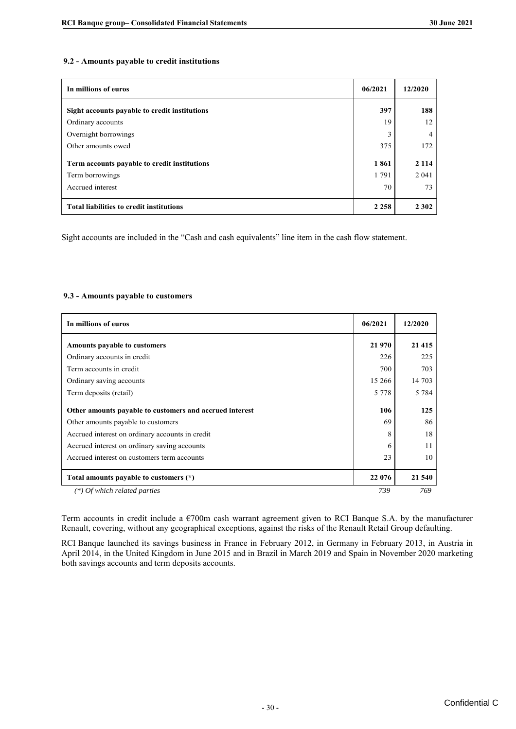#### **9.2 - Amounts payable to credit institutions**

| 9.2 - Amounts payable to credit institutions    |         |         |  |  |  |  |
|-------------------------------------------------|---------|---------|--|--|--|--|
| In millions of euros                            | 06/2021 | 12/2020 |  |  |  |  |
| Sight accounts payable to credit institutions   | 397     | 188     |  |  |  |  |
| Ordinary accounts                               | 19      | 12      |  |  |  |  |
| Overnight borrowings                            | 3       |         |  |  |  |  |
| Other amounts owed                              | 375     | 172     |  |  |  |  |
| Term accounts payable to credit institutions    | 1861    | 2 1 1 4 |  |  |  |  |
| Term borrowings                                 | 1791    | 2 0 4 1 |  |  |  |  |
| Accrued interest                                | 70      | 73      |  |  |  |  |
| <b>Total liabilities to credit institutions</b> | 2 2 5 8 | 2 3 0 2 |  |  |  |  |

Sight accounts are included in the "Cash and cash equivalents" line item in the cash flow statement.

#### **9.3 - Amounts payable to customers**

| In millions of euros                                    | 06/2021 | 12/2020 |
|---------------------------------------------------------|---------|---------|
| Amounts payable to customers                            | 21 970  | 21 4 15 |
| Ordinary accounts in credit                             | 226     | 225     |
| Term accounts in credit                                 | 700     | 703     |
| Ordinary saving accounts                                | 15 26 6 | 14 703  |
| Term deposits (retail)                                  | 5 7 7 8 | 5 7 8 4 |
| Other amounts payable to customers and accrued interest | 106     | 125     |
| Other amounts payable to customers                      | 69      | 86      |
| Accrued interest on ordinary accounts in credit         | 8       | 18      |
| Accrued interest on ordinary saving accounts            | 6       | 11      |
| Accrued interest on customers term accounts             | 23      | 10      |
| Total amounts payable to customers (*)                  | 22 076  | 21 540  |
| $(*)$ Of which related parties                          | 739     | 769     |

Term accounts in credit include a €700m cash warrant agreement given to RCI Banque S.A. by the manufacturer Renault, covering, without any geographical exceptions, against the risks of the Renault Retail Group defaulting.

RCI Banque launched its savings business in France in February 2012, in Germany in February 2013, in Austria in April 2014, in the United Kingdom in June 2015 and in Brazil in March 2019 and Spain in November 2020 marketing both savings accounts and term deposits accounts.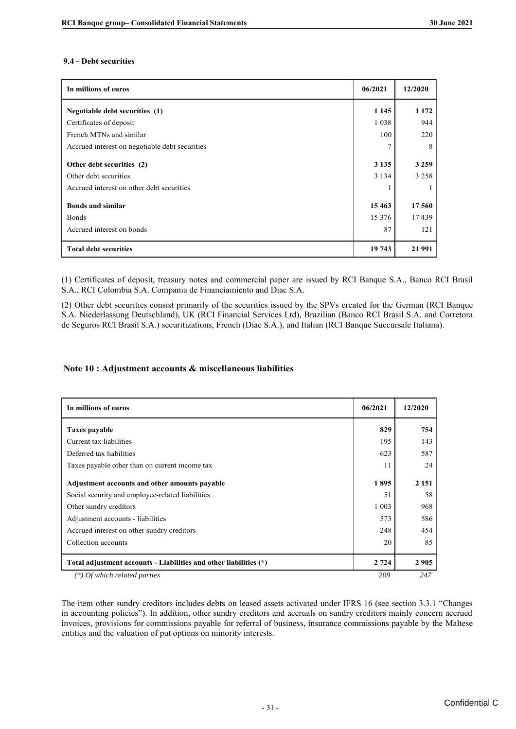#### **9.4 - Debt securities**

| In millions of euros                                                                            | 06/2021            | 12/2020                 |
|-------------------------------------------------------------------------------------------------|--------------------|-------------------------|
| Negotiable debt securities (1)                                                                  | 1 1 4 5            | 1 1 7 2                 |
| Certificates of deposit                                                                         | 1038               | 944                     |
| French MTNs and similar                                                                         | 100                | 220                     |
| Accrued interest on negotiable debt securities                                                  | 7                  | 8                       |
| Other debt securities (2)<br>Other debt securities<br>Accrued interest on other debt securities | 3 1 3 5<br>3 1 3 4 | 3 2 5 9<br>3 2 5 8<br>1 |
| <b>Bonds and similar</b>                                                                        | 15463              | 17 560                  |
| Bonds                                                                                           | 15 376             | 17439                   |
| Accrued interest on bonds                                                                       | 87                 | 121                     |
| <b>Total debt securities</b>                                                                    | 19 743             | 21 991                  |

(1) Certificates of deposit, treasury notes and commercial paper are issued by RCI Banque S.A., Banco RCI Brasil S.A., RCI Colombia S.A. Compania de Financiamiento and Diac S.A.

(2) Other debt securities consist primarily of the securities issued by the SPVs created for the German (RCI Banque S.A. Niederlassung Deutschland), UK (RCI Financial Services Ltd), Brazilian (Banco RCI Brasil S.A. and Corretora de Seguros RCI Brasil S.A.) securitizations, French (Diac S.A.), and Italian (RCI Banque Succursale Italiana).

#### **Note 10 : Adjustment accounts & miscellaneous liabilities**

| In millions of euros                                              | 06/2021 | 12/2020 |
|-------------------------------------------------------------------|---------|---------|
| Taxes payable                                                     | 829     | 754     |
| Current tax liabilities                                           | 195     | 143     |
| Deferred tax liabilities                                          | 623     | 587     |
| Taxes payable other than on current income tax                    | 11      | 24      |
| Adjustment accounts and other amounts payable                     | 1895    | 2 1 5 1 |
| Social security and employee-related liabilities                  | 51      | 58      |
| Other sundry creditors                                            | 1 0 0 3 | 968     |
| Adjustment accounts - liabilities                                 | 573     | 586     |
| Accrued interest on other sundry creditors                        | 248     | 454     |
| Collection accounts                                               | 20      | 85      |
| Total adjustment accounts - Liabilities and other liabilities (*) | 2 7 2 4 | 2 9 0 5 |
| (*) Of which related parties                                      | 209     | 247     |

The item other sundry creditors includes debts on leased assets activated under IFRS 16 (see section 3.3.1 "Changes in accounting policies"). In addition, other sundry creditors and accruals on sundry creditors mainly concern accrued invoices, provisions for commissions payable for referral of business, insurance commissions payable by the Maltese entities and the valuation of put options on minority interests.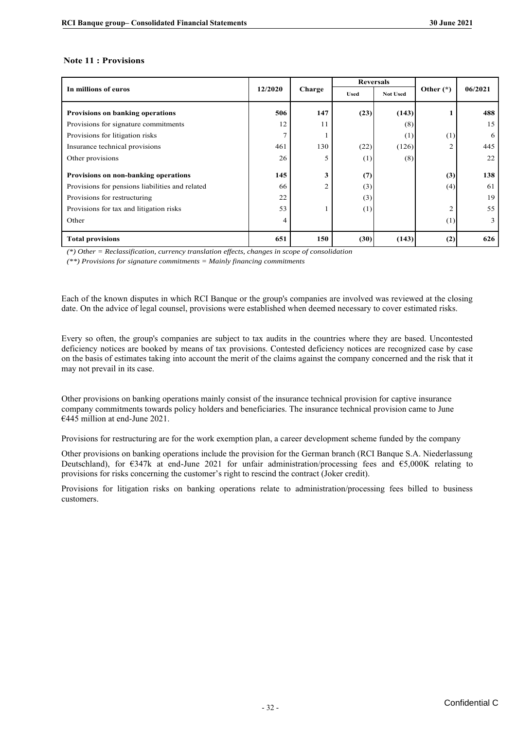#### **Note 11 : Provisions**

|                                                 |         | Charge         | <b>Reversals</b> |                 |                |         |
|-------------------------------------------------|---------|----------------|------------------|-----------------|----------------|---------|
| In millions of euros                            | 12/2020 |                | <b>Used</b>      | <b>Not Used</b> | Other $(*)$    | 06/2021 |
| <b>Provisions on banking operations</b>         | 506     | 147            | (23)             | (143)           |                | 488     |
| Provisions for signature commitments            | 12      | 11             |                  | (8)             |                | 15      |
| Provisions for litigation risks                 | 7       |                |                  | (1)             | (1)            | 6       |
| Insurance technical provisions                  | 461     | 130            | (22)             | (126)           | $\overline{2}$ | 445     |
| Other provisions                                | 26      | 5              | (1)              | (8)             |                | 22      |
| Provisions on non-banking operations            | 145     | 3              | (7)              |                 | (3)            | 138     |
| Provisions for pensions liabilities and related | 66      | $\overline{2}$ | (3)              |                 | (4)            | 61      |
| Provisions for restructuring                    | 22      |                | (3)              |                 |                | 19      |
| Provisions for tax and litigation risks         | 53      |                | (1)              |                 | $\overline{2}$ | 55      |
| Other                                           | 4       |                |                  |                 | (1)            | 3       |
| <b>Total provisions</b>                         | 651     | 150            | (30)             | (143)           | (2)            | 626     |

*(\*) Other = Reclassification, currency translation effects, changes in scope of consolidation*

*(\*\*) Provisions for signature commitments = Mainly financing commitments*

Each of the known disputes in which RCI Banque or the group's companies are involved was reviewed at the closing date. On the advice of legal counsel, provisions were established when deemed necessary to cover estimated risks.

Every so often, the group's companies are subject to tax audits in the countries where they are based. Uncontested deficiency notices are booked by means of tax provisions. Contested deficiency notices are recognized case by case on the basis of estimates taking into account the merit of the claims against the company concerned and the risk that it may not prevail in its case.

Other provisions on banking operations mainly consist of the insurance technical provision for captive insurance company commitments towards policy holders and beneficiaries. The insurance technical provision came to June €445 million at end-June 2021.

Provisions for restructuring are for the work exemption plan, a career development scheme funded by the company

Other provisions on banking operations include the provision for the German branch (RCI Banque S.A. Niederlassung Deutschland), for  $\epsilon$ 347k at end-June 2021 for unfair administration/processing fees and  $\epsilon$ 5,000K relating to provisions for risks concerning the customer's right to rescind the contract (Joker credit).

Provisions for litigation risks on banking operations relate to administration/processing fees billed to business customers.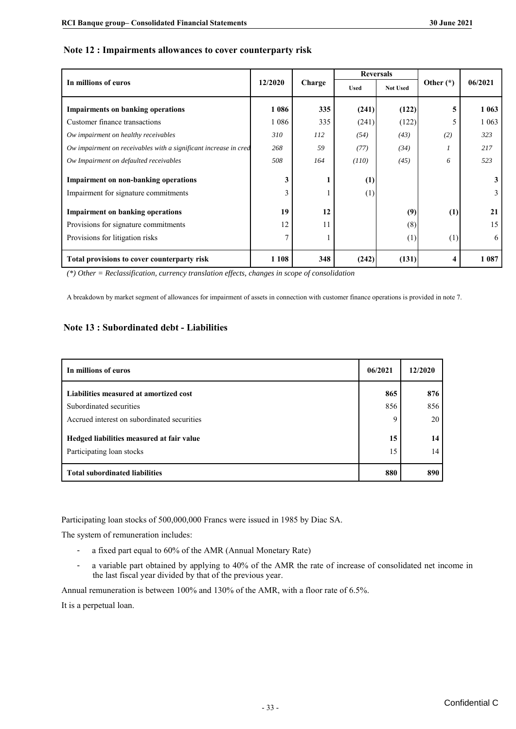#### **Note 12 : Impairments allowances to cover counterparty risk**

|                                                                                                 |                |        | <b>Reversals</b> |                 |             |         |  |  |
|-------------------------------------------------------------------------------------------------|----------------|--------|------------------|-----------------|-------------|---------|--|--|
| In millions of euros                                                                            | 12/2020        | Charge | <b>Used</b>      | <b>Not Used</b> | Other $(*)$ | 06/2021 |  |  |
| <b>Impairments on banking operations</b>                                                        | 1 0 8 6        | 335    | (241)            | (122)           | 5           | 1 0 6 3 |  |  |
| Customer finance transactions                                                                   | 1 0 8 6        | 335    | (241)            | (122)           | 5           | 1 0 6 3 |  |  |
| Ow impairment on healthy receivables                                                            | 310            | 112    | (54)             | (43)            | (2)         | 323     |  |  |
| Ow impairment on receivables with a significant increase in cred                                | 268            | 59     | (77)             | (34)            |             | 217     |  |  |
| Ow Impairment on defaulted receivables                                                          | 508            | 164    | (110)            | (45)            | 6           | 523     |  |  |
| <b>Impairment on non-banking operations</b>                                                     | 3              |        | (1)              |                 |             | 3       |  |  |
| Impairment for signature commitments                                                            | 3              |        | (1)              |                 |             |         |  |  |
| <b>Impairment on banking operations</b>                                                         | 19             | 12     |                  | (9)             | (1)         | 21      |  |  |
| Provisions for signature commitments                                                            | 12             | 11     |                  | (8)             |             | 15      |  |  |
| Provisions for litigation risks                                                                 | $\overline{7}$ |        |                  | (1)             | (1)         | 6       |  |  |
| Total provisions to cover counterparty risk                                                     | 1 1 0 8        | 348    | (242)            | (131)           | 4           | 1 0 8 7 |  |  |
| $(*)$ Other = Reclassification, currency translation effects, changes in scope of consolidation |                |        |                  |                 |             |         |  |  |

*(\*) Other = Reclassification, currency translation effects, changes in scope of consolidation*

A breakdown by market segment of allowances for impairment of assets in connection with customer finance operations is provided in note 7.

#### **Note 13 : Subordinated debt - Liabilities**

| In millions of euros                        | 06/2021 | 12/2020 |
|---------------------------------------------|---------|---------|
| Liabilities measured at amortized cost      | 865     | 876     |
| Subordinated securities                     | 856     | 856     |
| Accrued interest on subordinated securities | 9       | 20      |
| Hedged liabilities measured at fair value   | 15      | 14      |
| Participating loan stocks                   | 15      | 14      |
| <b>Total subordinated liabilities</b>       | 880     | 890     |

Participating loan stocks of 500,000,000 Francs were issued in 1985 by Diac SA.

The system of remuneration includes:

- a fixed part equal to 60% of the AMR (Annual Monetary Rate)
- a variable part obtained by applying to 40% of the AMR the rate of increase of consolidated net income in the last fiscal year divided by that of the previous year.

Annual remuneration is between 100% and 130% of the AMR, with a floor rate of 6.5%.

It is a perpetual loan.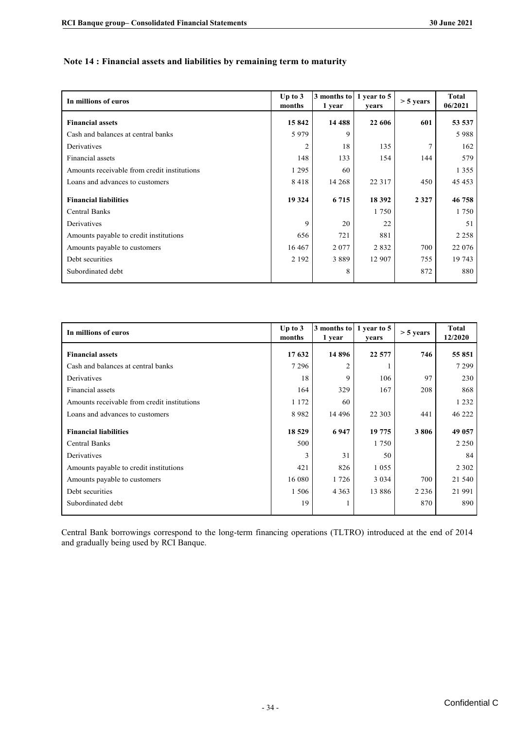#### Note 14 : Financial assets and liabilities by remaining term to maturity

| In millions of euros                        | Up to $3$<br>months | 3 months to<br>1 year | 1 year to 5<br>years | $> 5$ years | <b>Total</b><br>06/2021 |
|---------------------------------------------|---------------------|-----------------------|----------------------|-------------|-------------------------|
| <b>Financial assets</b>                     | 15842               | 14 4 8 8              | 22 606               | 601         | 53 537                  |
| Cash and balances at central banks          | 5979                | 9                     |                      |             | 5988                    |
| Derivatives                                 | 2                   | 18                    | 135                  | 7           | 162                     |
| Financial assets                            | 148                 | 133                   | 154                  | 144         | 579                     |
| Amounts receivable from credit institutions | 1 2 9 5             | 60                    |                      |             | 1 3 5 5                 |
| Loans and advances to customers             | 8418                | 14 268                | 22 3 1 7             | 450         | 45 4 53                 |
| <b>Financial liabilities</b>                | 19 324              | 6 7 1 5               | 18 3 9 2             | 2 3 2 7     | 46 758                  |
| <b>Central Banks</b>                        |                     |                       | 1750                 |             | 1750                    |
| Derivatives                                 | 9                   | 20                    | 22                   |             | 51                      |
| Amounts payable to credit institutions      | 656                 | 721                   | 881                  |             | 2 2 5 8                 |
| Amounts payable to customers                | 16 4 67             | 2 0 7 7               | 2832                 | 700         | 22 076                  |
| Debt securities                             | 2 1 9 2             | 3889                  | 12 907               | 755         | 19 743                  |
| Subordinated debt                           |                     | 8                     |                      | 872         | 880                     |

| In millions of euros                        | Up to $3$<br>months | 3 months to<br>1 year | 1 year to 5<br>years | $> 5$ years | <b>Total</b><br>12/2020 |
|---------------------------------------------|---------------------|-----------------------|----------------------|-------------|-------------------------|
| <b>Financial assets</b>                     | 17 632              | 14896                 | 22 577               | 746         | 55 851                  |
| Cash and balances at central banks          | 7 2 9 6             | $\overline{c}$        |                      |             | 7 2 9 9                 |
| Derivatives                                 | 18                  | 9                     | 106                  | 97          | 230                     |
| Financial assets                            | 164                 | 329                   | 167                  | 208         | 868                     |
| Amounts receivable from credit institutions | 1 1 7 2             | 60                    |                      |             | 1 2 3 2                 |
| Loans and advances to customers             | 8982                | 14 4 9 6              | 22 3 03              | 441         | 46 222                  |
| <b>Financial liabilities</b>                | 18 5 29             | 6947                  | 19 775               | 3806        | 49 057                  |
| <b>Central Banks</b>                        | 500                 |                       | 1 7 5 0              |             | 2 2 5 0                 |
| Derivatives                                 | 3                   | 31                    | 50                   |             | 84                      |
| Amounts payable to credit institutions      | 421                 | 826                   | 1 0 5 5              |             | 2 3 0 2                 |
| Amounts payable to customers                | 16 080              | 1726                  | 3 0 3 4              | 700         | 21 540                  |
| Debt securities                             | 1 506               | 4 3 6 3               | 13 8 8 6             | 2 2 3 6     | 21 991                  |
| Subordinated debt                           | 19                  |                       |                      | 870         | 890                     |

Central Bank borrowings correspond to the long-term financing operations (TLTRO) introduced at the end of 2014 and gradually being used by RCI Banque.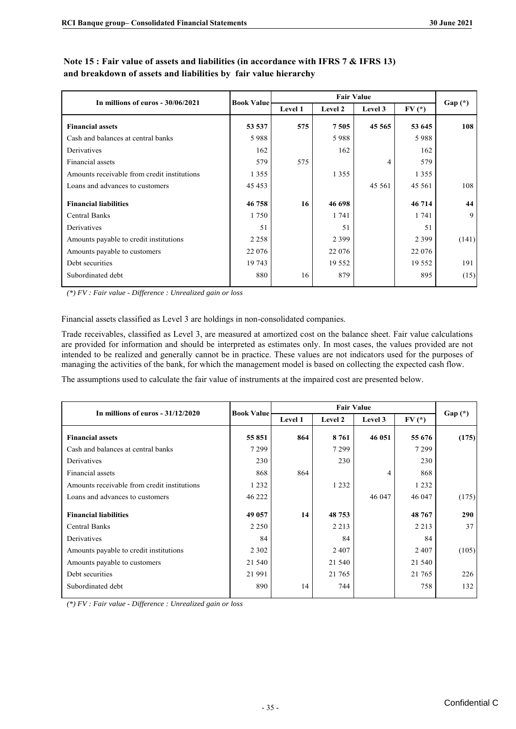| In millions of euros - 30/06/2021           |         | <b>Fair Value</b><br><b>Book Value</b> |          |         |          |          |
|---------------------------------------------|---------|----------------------------------------|----------|---------|----------|----------|
|                                             |         | Level 1                                | Level 2  | Level 3 | $FV(*)$  | $Gap(*)$ |
| <b>Financial assets</b>                     | 53 537  | 575                                    | 7505     | 45 5 65 | 53 645   | 108      |
| Cash and balances at central banks          | 5988    |                                        | 5988     |         | 5988     |          |
| Derivatives                                 | 162     |                                        | 162      |         | 162      |          |
| Financial assets                            | 579     | 575                                    |          | 4       | 579      |          |
| Amounts receivable from credit institutions | 1 3 5 5 |                                        | 1 3 5 5  |         | 1 3 5 5  |          |
| Loans and advances to customers             | 45 4 53 |                                        |          | 45 5 61 | 45 5 61  | 108      |
| <b>Financial liabilities</b>                | 46758   | 16                                     | 46 698   |         | 46 714   | 44       |
| <b>Central Banks</b>                        | 1750    |                                        | 1 741    |         | 1 741    | 9        |
| Derivatives                                 | 51      |                                        | 51       |         | 51       |          |
| Amounts payable to credit institutions      | 2 2 5 8 |                                        | 2 3 9 9  |         | 2 3 9 9  | (141)    |
| Amounts payable to customers                | 22 076  |                                        | 22 076   |         | 22 0 76  |          |
| Debt securities                             | 19 743  |                                        | 19 5 5 2 |         | 19 5 5 2 | 191      |
| Subordinated debt                           | 880     | 16                                     | 879      |         | 895      | (15)     |

#### Note 15 : Fair value of assets and liabilities (in accordance with IFRS 7 & IFRS 13) and breakdown of assets and liabilities by fair value hierarchy

*(\*) FV : Fair value - Difference : Unrealized gain or loss* 

Financial assets classified as Level 3 are holdings in non-consolidated companies.

Trade receivables, classified as Level 3, are measured at amortized cost on the balance sheet. Fair value calculations are provided for information and should be interpreted as estimates only. In most cases, the values provided are not intended to be realized and generally cannot be in practice. These values are not indicators used for the purposes of managing the activities of the bank, for which the management model is based on collecting the expected cash flow.

The assumptions used to calculate the fair value of instruments at the impaired cost are presented below.

| In millions of euros $-31/12/2020$          | <b>Book Value</b> |         | <b>Fair Value</b> |         |         |          |
|---------------------------------------------|-------------------|---------|-------------------|---------|---------|----------|
|                                             |                   | Level 1 | Level 2           | Level 3 | $FV(*)$ | $Gap(*)$ |
| <b>Financial assets</b>                     | 55 851            | 864     | 8761              | 46 051  | 55 676  | (175)    |
| Cash and balances at central banks          | 7299              |         | 7 2 9 9           |         | 7299    |          |
| Derivatives                                 | 230               |         | 230               |         | 230     |          |
| Financial assets                            | 868               | 864     |                   |         | 868     |          |
| Amounts receivable from credit institutions | 1 2 3 2           |         | 1 2 3 2           |         | 1 2 3 2 |          |
| Loans and advances to customers             | 46 222            |         |                   | 46 047  | 46 047  | (175)    |
| <b>Financial liabilities</b>                | 49 057            | 14      | 48 753            |         | 48767   | 290      |
| <b>Central Banks</b>                        | 2 2 5 0           |         | 2 2 1 3           |         | 2 2 1 3 | 37       |
| Derivatives                                 | 84                |         | 84                |         | 84      |          |
| Amounts payable to credit institutions      | 2 3 0 2           |         | 2 4 0 7           |         | 2407    | (105)    |
| Amounts payable to customers                | 21 540            |         | 21 540            |         | 21 540  |          |
| Debt securities                             | 21 991            |         | 21 765            |         | 21 765  | 226      |
| Subordinated debt                           | 890               | 14      | 744               |         | 758     | 132      |

*(\*) FV : Fair value - Difference : Unrealized gain or loss*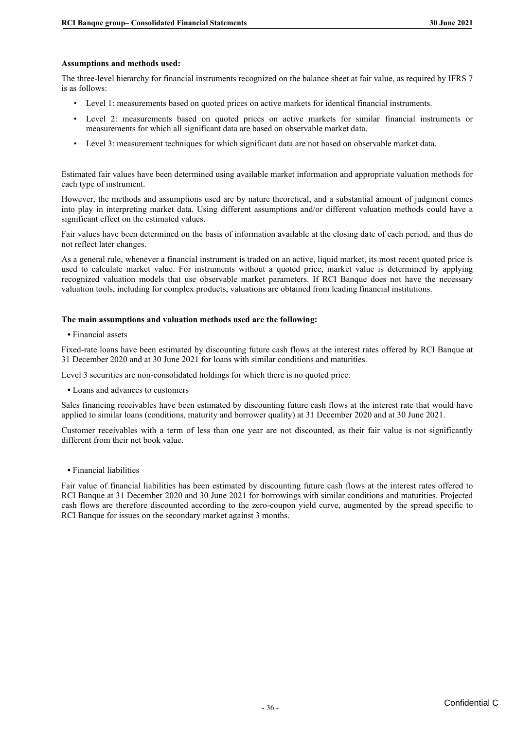#### **Assumptions and methods used:**

The three-level hierarchy for financial instruments recognized on the balance sheet at fair value, as required by IFRS 7 is as follows:

- Level 1: measurements based on quoted prices on active markets for identical financial instruments.
- Level 2: measurements based on quoted prices on active markets for similar financial instruments or measurements for which all significant data are based on observable market data.
- Level 3: measurement techniques for which significant data are not based on observable market data.

Estimated fair values have been determined using available market information and appropriate valuation methods for each type of instrument.

However, the methods and assumptions used are by nature theoretical, and a substantial amount of judgment comes into play in interpreting market data. Using different assumptions and/or different valuation methods could have a significant effect on the estimated values.

Fair values have been determined on the basis of information available at the closing date of each period, and thus do not reflect later changes.

As a general rule, whenever a financial instrument is traded on an active, liquid market, its most recent quoted price is used to calculate market value. For instruments without a quoted price, market value is determined by applying recognized valuation models that use observable market parameters. If RCI Banque does not have the necessary valuation tools, including for complex products, valuations are obtained from leading financial institutions.

#### **The main assumptions and valuation methods used are the following:**

**•** Financial assets

Fixed-rate loans have been estimated by discounting future cash flows at the interest rates offered by RCI Banque at 31 December 2020 and at 30 June 2021 for loans with similar conditions and maturities.

Level 3 securities are non-consolidated holdings for which there is no quoted price.

**•** Loans and advances to customers

Sales financing receivables have been estimated by discounting future cash flows at the interest rate that would have applied to similar loans (conditions, maturity and borrower quality) at 31 December 2020 and at 30 June 2021.

Customer receivables with a term of less than one year are not discounted, as their fair value is not significantly different from their net book value.

**•** Financial liabilities

Fair value of financial liabilities has been estimated by discounting future cash flows at the interest rates offered to RCI Banque at 31 December 2020 and 30 June 2021 for borrowings with similar conditions and maturities. Projected cash flows are therefore discounted according to the zero-coupon yield curve, augmented by the spread specific to RCI Banque for issues on the secondary market against 3 months.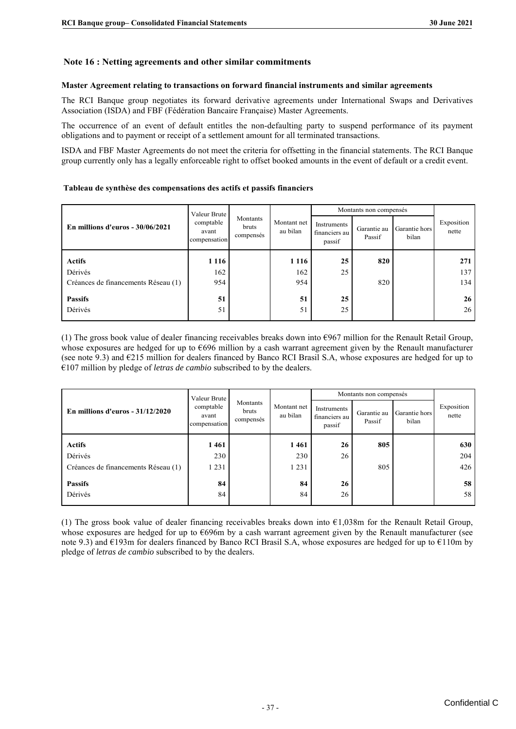#### **Master Agreement relating to transactions on forward financial instruments and similar agreements**

#### **Tableau de synthèse des compensations des actifs et passifs financiers**

| Master Agreement relating to transactions on forward financial instruments and similar agreements                                                                                                                                                                                                                        |                                    |                                |                         |                                        |                        |                        |                     |
|--------------------------------------------------------------------------------------------------------------------------------------------------------------------------------------------------------------------------------------------------------------------------------------------------------------------------|------------------------------------|--------------------------------|-------------------------|----------------------------------------|------------------------|------------------------|---------------------|
|                                                                                                                                                                                                                                                                                                                          |                                    |                                |                         |                                        |                        |                        |                     |
| The RCI Banque group negotiates its forward derivative agreements under International Swaps and Derivatives<br>Association (ISDA) and FBF (Fédération Bancaire Française) Master Agreements.                                                                                                                             |                                    |                                |                         |                                        |                        |                        |                     |
| The occurrence of an event of default entitles the non-defaulting party to suspend performance of its payment<br>obligations and to payment or receipt of a settlement amount for all terminated transactions.                                                                                                           |                                    |                                |                         |                                        |                        |                        |                     |
| ISDA and FBF Master Agreements do not meet the criteria for offsetting in the financial statements. The RCI Banque<br>group currently only has a legally enforceable right to offset booked amounts in the event of default or a credit event.                                                                           |                                    |                                |                         |                                        |                        |                        |                     |
| Tableau de synthèse des compensations des actifs et passifs financiers                                                                                                                                                                                                                                                   |                                    |                                |                         |                                        |                        |                        |                     |
|                                                                                                                                                                                                                                                                                                                          | Valeur Brute                       |                                |                         |                                        | Montants non compensés |                        |                     |
| En millions d'euros - 30/06/2021                                                                                                                                                                                                                                                                                         | comptable<br>avant<br>compensation | Montants<br>bruts<br>compensés | Montant net<br>au bilan | Instruments<br>financiers au<br>passif | Garantie au<br>Passif  | Garantie hors<br>bilan | Exposition<br>nette |
| <b>Actifs</b>                                                                                                                                                                                                                                                                                                            | 1 1 1 6                            |                                | 1 1 1 6                 | 25                                     | 820                    |                        | 271                 |
| Dérivés<br>Créances de financements Réseau (1)                                                                                                                                                                                                                                                                           | 162<br>954                         |                                | 162<br>954              | 25                                     | 820                    |                        | 137<br>134          |
| <b>Passifs</b>                                                                                                                                                                                                                                                                                                           | 51                                 |                                | 51                      | 25                                     |                        |                        | 26                  |
| Dérivés                                                                                                                                                                                                                                                                                                                  | 51                                 |                                | 51                      | 25                                     |                        |                        | 26                  |
|                                                                                                                                                                                                                                                                                                                          |                                    |                                |                         |                                        |                        |                        |                     |
| whose exposures are hedged for up to $6696$ million by a cash warrant agreement given by the Renault manufacturer<br>(see note 9.3) and $E$ 215 million for dealers financed by Banco RCI Brasil S.A, whose exposures are hedged for up to<br>$€107$ million by pledge of letras de cambio subscribed to by the dealers. | Valeur Brute                       |                                |                         |                                        | Montants non compensés |                        |                     |
| En millions d'euros - 31/12/2020                                                                                                                                                                                                                                                                                         | comptable<br>avant<br>compensation | Montants<br>bruts<br>compensés | Montant net<br>au bilan | Instruments<br>financiers au<br>passif | Garantie au<br>Passif  | Garantie hors<br>bilan | Exposition<br>nette |
| <b>Actifs</b>                                                                                                                                                                                                                                                                                                            | 1 461                              |                                | 1461                    | 26                                     | 805                    |                        | 630                 |
| Dérivés                                                                                                                                                                                                                                                                                                                  | 230                                |                                | 230                     | 26                                     |                        |                        | 204                 |
| Créances de financements Réseau (1)<br><b>Passifs</b>                                                                                                                                                                                                                                                                    | 1 2 3 1<br>84                      |                                | 1 2 3 1<br>84           | 26                                     | 805                    |                        | 426<br>58           |

|                                     | Valeur Brute                       |                                |                         |                                        | Montants non compensés |                        |                     |
|-------------------------------------|------------------------------------|--------------------------------|-------------------------|----------------------------------------|------------------------|------------------------|---------------------|
| En millions d'euros - $31/12/2020$  | comptable<br>avant<br>compensation | Montants<br>bruts<br>compensés | Montant net<br>au bilan | Instruments<br>financiers au<br>passif | Garantie au<br>Passif  | Garantie hors<br>bilan | Exposition<br>nette |
| <b>Actifs</b>                       | 1461                               |                                | 1461                    | 26                                     | 805                    |                        | 630                 |
| Dérivés                             | 230                                |                                | 230                     | 26                                     |                        |                        | 204                 |
| Créances de financements Réseau (1) | 1 231                              |                                | 1 2 3 1                 |                                        | 805                    |                        | 426                 |
| <b>Passifs</b><br>Dérivés           | 84<br>84                           |                                | 84<br>84                | 26<br>26                               |                        |                        | 58<br>58            |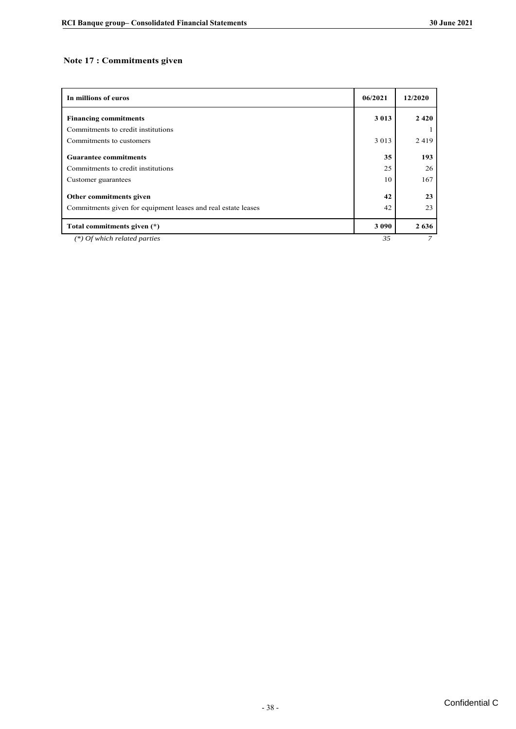#### **Note 17 : Commitments given**

| In millions of euros                                          | 06/2021 | 12/2020 |
|---------------------------------------------------------------|---------|---------|
| <b>Financing commitments</b>                                  | 3 0 1 3 | 2420    |
| Commitments to credit institutions                            |         |         |
| Commitments to customers                                      | 3 0 1 3 | 2419    |
| <b>Guarantee commitments</b>                                  | 35      | 193     |
| Commitments to credit institutions                            | 25      | 26      |
| Customer guarantees                                           | 10      | 167     |
| Other commitments given                                       | 42      | 23      |
| Commitments given for equipment leases and real estate leases | 42      | 23      |
| Total commitments given (*)                                   | 3 0 9 0 | 2636    |
| $(*)$ Of which related parties                                | 35      | 7       |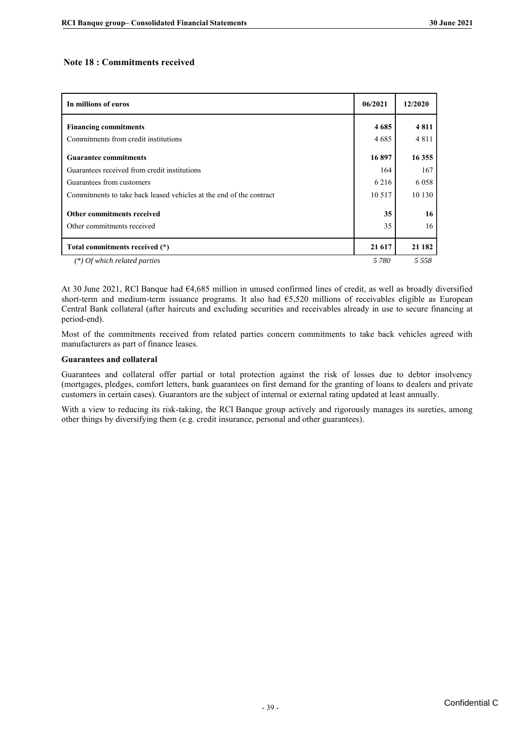#### **Note 18 : Commitments received**

| In millions of euros                                                | 06/2021  | 12/2020  |
|---------------------------------------------------------------------|----------|----------|
| <b>Financing commitments</b>                                        | 4685     | 4811     |
| Commitments from credit institutions                                | 4685     | 4811     |
| <b>Guarantee commitments</b>                                        | 16897    | 16 3 55  |
| Guarantees received from credit institutions                        | 164      | 167      |
| Guarantees from customers                                           | 6 2 1 6  | 6 0 5 8  |
| Commitments to take back leased vehicles at the end of the contract | 10 5 17  | 10 130   |
| Other commitments received<br>Other commitments received            | 35<br>35 | 16<br>16 |
|                                                                     |          |          |
| Total commitments received (*)                                      | 21 617   | 21 182   |
| (*) Of which related parties                                        | 5 780    | 5 5 5 8  |

At 30 June 2021, RCI Banque had €4,685 million in unused confirmed lines of credit, as well as broadly diversified short-term and medium-term issuance programs. It also had  $65,520$  millions of receivables eligible as European Central Bank collateral (after haircuts and excluding securities and receivables already in use to secure financing at period-end).

Most of the commitments received from related parties concern commitments to take back vehicles agreed with manufacturers as part of finance leases.

#### **Guarantees and collateral**

Guarantees and collateral offer partial or total protection against the risk of losses due to debtor insolvency (mortgages, pledges, comfort letters, bank guarantees on first demand for the granting of loans to dealers and private customers in certain cases). Guarantors are the subject of internal or external rating updated at least annually.

With a view to reducing its risk-taking, the RCI Banque group actively and rigorously manages its sureties, among other things by diversifying them (e.g. credit insurance, personal and other guarantees).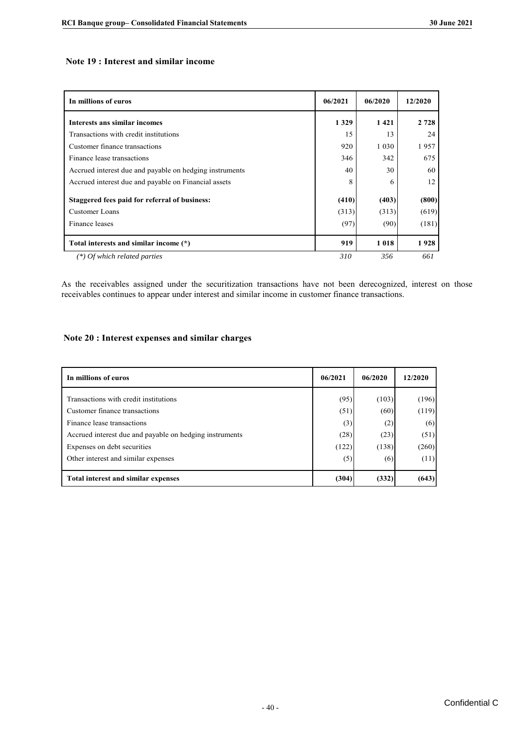#### **Note 19 : Interest and similar income**

| In millions of euros                                    | 06/2021 | 06/2020 | 12/2020 |
|---------------------------------------------------------|---------|---------|---------|
| Interests ans similar incomes                           | 1 3 2 9 | 1421    | 2 7 2 8 |
| Transactions with credit institutions                   | 15      | 13      | 24      |
| Customer finance transactions                           | 920     | 1 0 3 0 | 1957    |
| Finance lease transactions                              | 346     | 342     | 675     |
| Accrued interest due and payable on hedging instruments | 40      | 30      | 60      |
| Accrued interest due and payable on Financial assets    | 8       | 6       | 12      |
| Staggered fees paid for referral of business:           | (410)   | (403)   | (800)   |
| Customer Loans                                          | (313)   | (313)   | (619)   |
| Finance leases                                          | (97)    | (90)    | (181)   |
| Total interests and similar income (*)                  | 919     | 1018    | 1928    |
| (*) Of which related parties                            | 310     | 356     | 661     |

As the receivables assigned under the securitization transactions have not been derecognized, interest on those receivables continues to appear under interest and similar income in customer finance transactions.

#### **Note 20 : Interest expenses and similar charges**

| In millions of euros                                    | 06/2021 | 06/2020 | 12/2020 |
|---------------------------------------------------------|---------|---------|---------|
| Transactions with credit institutions                   | (95)    | (103)   | (196)   |
| Customer finance transactions                           | (51)    | (60)    | (119)   |
| Finance lease transactions                              | (3)     | (2)     | (6)     |
| Accrued interest due and payable on hedging instruments | (28)    | (23)    | (51)    |
| Expenses on debt securities                             | (122)   | (138)   | (260)   |
| Other interest and similar expenses                     | (5)     | (6)     | (11)    |
| <b>Total interest and similar expenses</b>              | (304)   | (332)   | (643)   |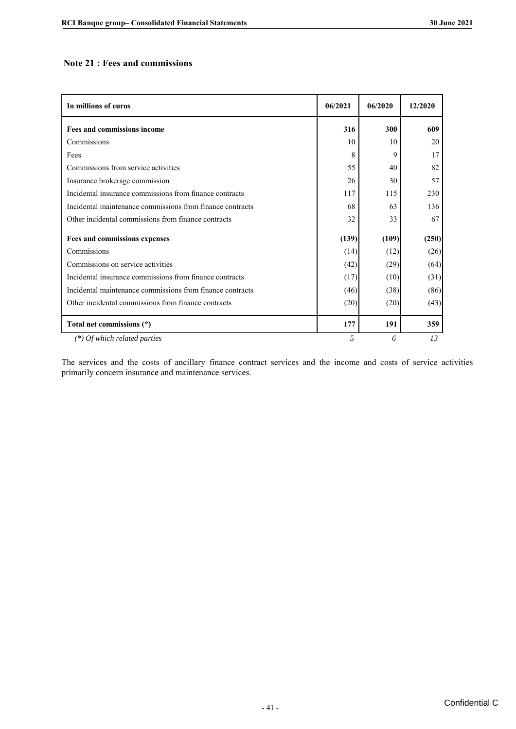#### **Note 21 : Fees and commissions**

| In millions of euros                                      | 06/2021 | 06/2020 | 12/2020 |
|-----------------------------------------------------------|---------|---------|---------|
| <b>Fees and commissions income</b>                        | 316     | 300     | 609     |
| Commissions                                               | 10      | 10      | 20      |
| Fees                                                      | 8       | 9       | 17      |
| Commissions from service activities                       | 55      | 40      | 82      |
| Insurance brokerage commission                            | 26      | 30      | 57      |
| Incidental insurance commissions from finance contracts   | 117     | 115     | 230     |
| Incidental maintenance commissions from finance contracts | 68      | 63      | 136     |
| Other incidental commissions from finance contracts       | 32      | 33      | 67      |
| Fees and commissions expenses                             | (139)   | (109)   | (250)   |
| Commissions                                               | (14)    | (12)    | (26)    |
| Commissions on service activities                         | (42)    | (29)    | (64)    |
| Incidental insurance commissions from finance contracts   | (17)    | (10)    | (31)    |
| Incidental maintenance commissions from finance contracts | (46)    | (38)    | (86)    |
| Other incidental commissions from finance contracts       | (20)    | (20)    | (43)    |
| Total net commissions (*)                                 | 177     | 191     | 359     |
| $(*)$ Of which related parties                            | 5       | 6       | 13      |

The services and the costs of ancillary finance contract services and the income and costs of service activities primarily concern insurance and maintenance services.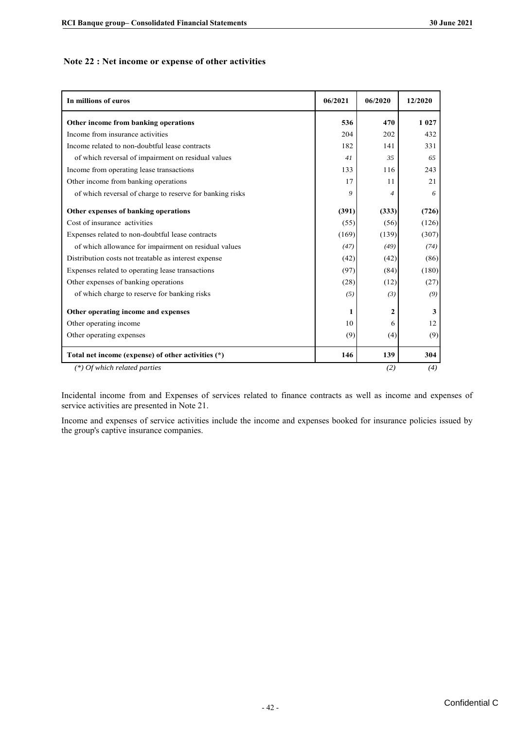#### Note 22 : Net income or expense of other activities

| In millions of euros                                     | 06/2021 | 06/2020          | 12/2020 |
|----------------------------------------------------------|---------|------------------|---------|
| Other income from banking operations                     | 536     | 470              | 1 0 2 7 |
| Income from insurance activities                         | 204     | 202              | 432     |
| Income related to non-doubtful lease contracts           | 182     | 141              | 331     |
| of which reversal of impairment on residual values       | 41      | 35               | 65      |
| Income from operating lease transactions                 | 133     | 116              | 243     |
| Other income from banking operations                     | 17      | 11               | 21      |
| of which reversal of charge to reserve for banking risks | 9       | $\boldsymbol{4}$ | 6       |
| Other expenses of banking operations                     | (391)   | (333)            | (726)   |
| Cost of insurance activities                             | (55)    | (56)             | (126)   |
| Expenses related to non-doubtful lease contracts         | (169)   | (139)            | (307)   |
| of which allowance for impairment on residual values     | (47)    | (49)             | (74)    |
| Distribution costs not treatable as interest expense     | (42)    | (42)             | (86)    |
| Expenses related to operating lease transactions         | (97)    | (84)             | (180)   |
| Other expenses of banking operations                     | (28)    | (12)             | (27)    |
| of which charge to reserve for banking risks             | (5)     | (3)              | (9)     |
| Other operating income and expenses                      | 1       | $\mathbf{2}$     | 3       |
| Other operating income                                   | 10      | 6                | 12      |
| Other operating expenses                                 | (9)     | (4)              | (9)     |
| Total net income (expense) of other activities (*)       | 146     | 139              | 304     |
| $(*)$ Of which related parties                           |         | (2)              | (4)     |

Incidental income from and Expenses of services related to finance contracts as well as income and expenses of service activities are presented in Note 21.

Income and expenses of service activities include the income and expenses booked for insurance policies issued by the group's captive insurance companies.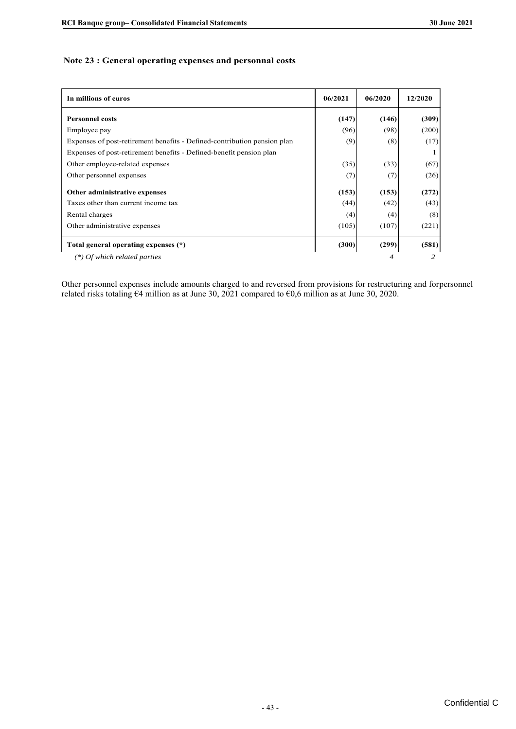| Note 23 : General operating expenses and personnal costs |
|----------------------------------------------------------|
|----------------------------------------------------------|

| In millions of euros                                                     | 06/2021 | 06/2020 | 12/2020 |
|--------------------------------------------------------------------------|---------|---------|---------|
| <b>Personnel costs</b>                                                   | (147)   | (146)   | (309)   |
| Employee pay                                                             | (96)    | (98)    | (200)   |
| Expenses of post-retirement benefits - Defined-contribution pension plan | (9)     | (8)     | (17)    |
| Expenses of post-retirement benefits - Defined-benefit pension plan      |         |         |         |
| Other employee-related expenses                                          | (35)    | (33)    | (67)    |
| Other personnel expenses                                                 | (7)     | (7)     | (26)    |
| Other administrative expenses                                            | (153)   | (153)   | (272)   |
| Taxes other than current income tax                                      | (44)    | (42)    | (43)    |
| Rental charges                                                           | (4)     | (4)     | (8)     |
| Other administrative expenses                                            | (105)   | (107)   | (221)   |
| Total general operating expenses (*)                                     | (300)   | (299)   | (581)   |
| $(*)$ Of which related parties                                           |         | 4       |         |

Other personnel expenses include amounts charged to and reversed from provisions for restructuring and forpersonnel related risks totaling €4 million as at June 30, 2021 compared to €0,6 million as at June 30, 2020.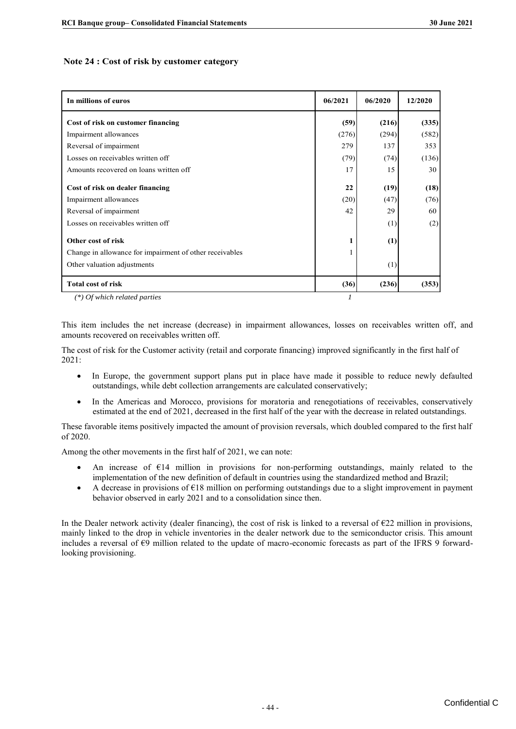#### **Note 24 : Cost of risk by customer category**

| In millions of euros                                    | 06/2021 | 06/2020 | 12/2020 |
|---------------------------------------------------------|---------|---------|---------|
| Cost of risk on customer financing                      | (59)    | (216)   | (335)   |
| Impairment allowances                                   | (276)   | (294)   | (582)   |
| Reversal of impairment                                  | 279     | 137     | 353     |
| Losses on receivables written off                       | (79)    | (74)    | (136)   |
| Amounts recovered on loans written off                  | 17      | 15      | 30      |
| Cost of risk on dealer financing                        | 22      | (19)    | (18)    |
| Impairment allowances                                   | (20)    | (47)    | (76)    |
| Reversal of impairment                                  | 42      | 29      | 60      |
| Losses on receivables written off                       |         | (1)     | (2)     |
| Other cost of risk                                      | 1       | (1)     |         |
| Change in allowance for impairment of other receivables |         |         |         |
| Other valuation adjustments                             |         | (1)     |         |
| <b>Total cost of risk</b>                               | (36)    | (236)   | (353)   |
| $(*)$ Of which related parties                          |         |         |         |

*(\*) Of which related parties* 

This item includes the net increase (decrease) in impairment allowances, losses on receivables written off, and amounts recovered on receivables written off.

The cost of risk for the Customer activity (retail and corporate financing) improved significantly in the first half of 2021:

- In Europe, the government support plans put in place have made it possible to reduce newly defaulted outstandings, while debt collection arrangements are calculated conservatively;
- In the Americas and Morocco, provisions for moratoria and renegotiations of receivables, conservatively estimated at the end of 2021, decreased in the first half of the year with the decrease in related outstandings.

These favorable items positively impacted the amount of provision reversals, which doubled compared to the first half of 2020.

Among the other movements in the first half of 2021, we can note:

- An increase of €14 million in provisions for non-performing outstandings, mainly related to the implementation of the new definition of default in countries using the standardized method and Brazil;
- A decrease in provisions of  $E18$  million on performing outstandings due to a slight improvement in payment behavior observed in early 2021 and to a consolidation since then.

In the Dealer network activity (dealer financing), the cost of risk is linked to a reversal of €22 million in provisions, mainly linked to the drop in vehicle inventories in the dealer network due to the semiconductor crisis. This amount includes a reversal of €9 million related to the update of macro-economic forecasts as part of the IFRS 9 forwardlooking provisioning.